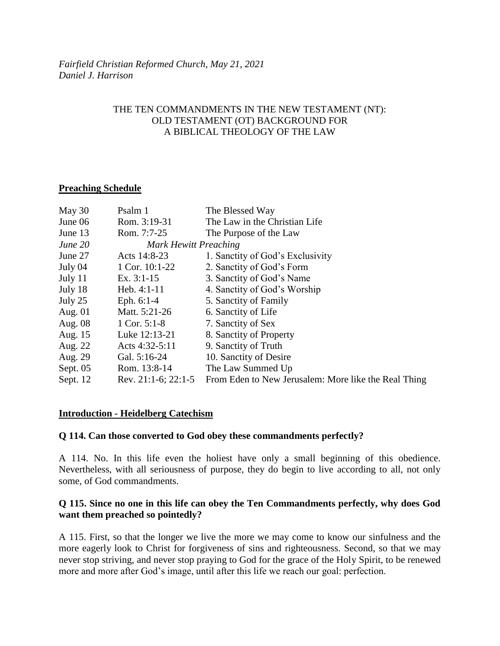# THE TEN COMMANDMENTS IN THE NEW TESTAMENT (NT): OLD TESTAMENT (OT) BACKGROUND FOR A BIBLICAL THEOLOGY OF THE LAW

# **Preaching Schedule**

| Psalm 1                      | The Blessed Way                                      |
|------------------------------|------------------------------------------------------|
| Rom. 3:19-31                 | The Law in the Christian Life                        |
| Rom. 7:7-25                  | The Purpose of the Law                               |
| <b>Mark Hewitt Preaching</b> |                                                      |
| Acts 14:8-23                 | 1. Sanctity of God's Exclusivity                     |
| 1 Cor. 10:1-22               | 2. Sanctity of God's Form                            |
| Ex. $3:1-15$                 | 3. Sanctity of God's Name                            |
| Heb. $4:1-11$                | 4. Sanctity of God's Worship                         |
| Eph. $6:1-4$                 | 5. Sanctity of Family                                |
| Matt. 5:21-26                | 6. Sanctity of Life                                  |
| 1 Cor. $5:1-8$               | 7. Sanctity of Sex                                   |
| Luke 12:13-21                | 8. Sanctity of Property                              |
| Acts 4:32-5:11               | 9. Sanctity of Truth                                 |
| Gal. 5:16-24                 | 10. Sanctity of Desire                               |
| Rom. 13:8-14                 | The Law Summed Up                                    |
| Rev. $21:1-6$ ; $22:1-5$     | From Eden to New Jerusalem: More like the Real Thing |
|                              |                                                      |

### **Introduction - Heidelberg Catechism**

### **Q 114. Can those converted to God obey these commandments perfectly?**

A 114. No. In this life even the holiest have only a small beginning of this obedience. Nevertheless, with all seriousness of purpose, they do begin to live according to all, not only some, of God commandments.

# **Q 115. Since no one in this life can obey the Ten Commandments perfectly, why does God want them preached so pointedly?**

A 115. First, so that the longer we live the more we may come to know our sinfulness and the more eagerly look to Christ for forgiveness of sins and righteousness. Second, so that we may never stop striving, and never stop praying to God for the grace of the Holy Spirit, to be renewed more and more after God's image, until after this life we reach our goal: perfection.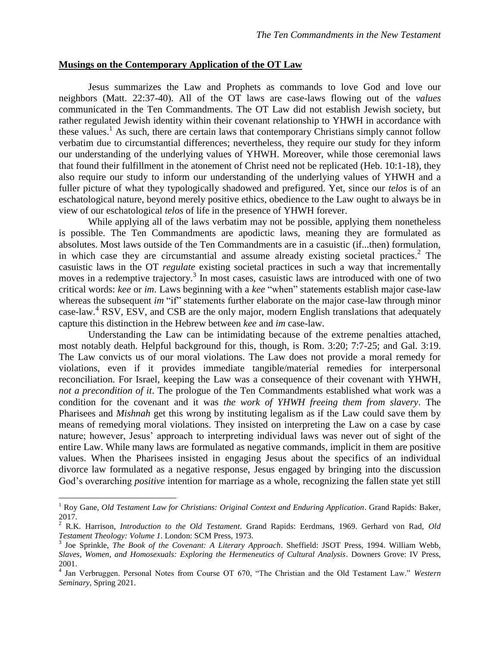#### **Musings on the Contemporary Application of the OT Law**

Jesus summarizes the Law and Prophets as commands to love God and love our neighbors (Matt. 22:37-40). All of the OT laws are case-laws flowing out of the *values* communicated in the Ten Commandments. The OT Law did not establish Jewish society, but rather regulated Jewish identity within their covenant relationship to YHWH in accordance with these values.<sup>1</sup> As such, there are certain laws that contemporary Christians simply cannot follow verbatim due to circumstantial differences; nevertheless, they require our study for they inform our understanding of the underlying values of YHWH. Moreover, while those ceremonial laws that found their fulfillment in the atonement of Christ need not be replicated (Heb. 10:1-18), they also require our study to inform our understanding of the underlying values of YHWH and a fuller picture of what they typologically shadowed and prefigured. Yet, since our *telos* is of an eschatological nature, beyond merely positive ethics, obedience to the Law ought to always be in view of our eschatological *telos* of life in the presence of YHWH forever.

While applying all of the laws verbatim may not be possible, applying them nonetheless is possible. The Ten Commandments are apodictic laws, meaning they are formulated as absolutes. Most laws outside of the Ten Commandments are in a casuistic (if...then) formulation, in which case they are circumstantial and assume already existing societal practices.<sup>2</sup> The casuistic laws in the OT *regulate* existing societal practices in such a way that incrementally moves in a redemptive trajectory.<sup>3</sup> In most cases, casuistic laws are introduced with one of two critical words: *kee* or *im*. Laws beginning with a *kee* "when" statements establish major case-law whereas the subsequent *im* "if" statements further elaborate on the major case-law through minor case-law.<sup>4</sup> RSV, ESV, and CSB are the only major, modern English translations that adequately capture this distinction in the Hebrew between *kee* and *im* case-law.

Understanding the Law can be intimidating because of the extreme penalties attached, most notably death. Helpful background for this, though, is Rom. 3:20; 7:7-25; and Gal. 3:19. The Law convicts us of our moral violations. The Law does not provide a moral remedy for violations, even if it provides immediate tangible/material remedies for interpersonal reconciliation. For Israel, keeping the Law was a consequence of their covenant with YHWH, *not a precondition of it*. The prologue of the Ten Commandments established what work was a condition for the covenant and it was *the work of YHWH freeing them from slavery*. The Pharisees and *Mishnah* get this wrong by instituting legalism as if the Law could save them by means of remedying moral violations. They insisted on interpreting the Law on a case by case nature; however, Jesus' approach to interpreting individual laws was never out of sight of the entire Law. While many laws are formulated as negative commands, implicit in them are positive values. When the Pharisees insisted in engaging Jesus about the specifics of an individual divorce law formulated as a negative response, Jesus engaged by bringing into the discussion God's overarching *positive* intention for marriage as a whole, recognizing the fallen state yet still

<sup>&</sup>lt;sup>1</sup> Roy Gane, *Old Testament Law for Christians: Original Context and Enduring Application*. Grand Rapids: Baker, 2017.

<sup>2</sup> R.K. Harrison, *Introduction to the Old Testament*. Grand Rapids: Eerdmans, 1969. Gerhard von Rad, *Old Testament Theology: Volume 1*. London: SCM Press, 1973.

<sup>3</sup> Joe Sprinkle, *The Book of the Covenant: A Literary Approach*. Sheffield: JSOT Press, 1994. William Webb, *Slaves, Women, and Homosexuals: Exploring the Hermeneutics of Cultural Analysis*. Downers Grove: IV Press, 2001. 4 Jan Verbruggen. Personal Notes from Course OT 670, "The Christian and the Old Testament Law." *Western* 

*Seminary,* Spring 2021.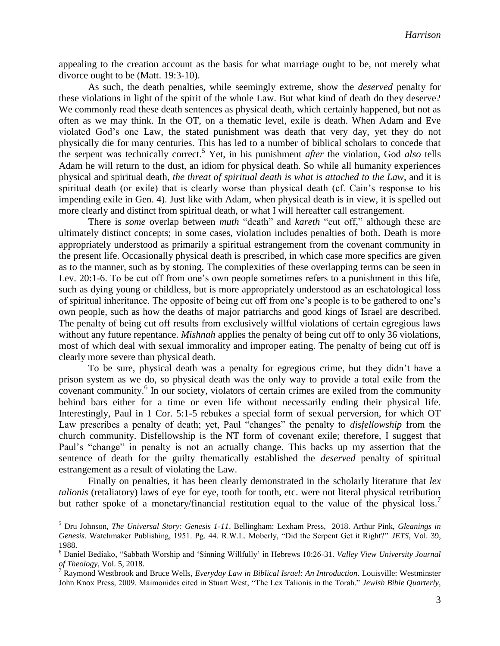appealing to the creation account as the basis for what marriage ought to be, not merely what divorce ought to be (Matt. 19:3-10).

As such, the death penalties, while seemingly extreme, show the *deserved* penalty for these violations in light of the spirit of the whole Law. But what kind of death do they deserve? We commonly read these death sentences as physical death, which certainly happened, but not as often as we may think. In the OT, on a thematic level, exile is death. When Adam and Eve violated God's one Law, the stated punishment was death that very day, yet they do not physically die for many centuries. This has led to a number of biblical scholars to concede that the serpent was technically correct. <sup>5</sup> Yet, in his punishment *after* the violation, God *also* tells Adam he will return to the dust, an idiom for physical death. So while all humanity experiences physical and spiritual death, *the threat of spiritual death is what is attached to the Law*, and it is spiritual death (or exile) that is clearly worse than physical death (cf. Cain's response to his impending exile in Gen. 4). Just like with Adam, when physical death is in view, it is spelled out more clearly and distinct from spiritual death, or what I will hereafter call estrangement.

There is *some* overlap between *muth* "death" and *kareth* "cut off," although these are ultimately distinct concepts; in some cases, violation includes penalties of both. Death is more appropriately understood as primarily a spiritual estrangement from the covenant community in the present life. Occasionally physical death is prescribed, in which case more specifics are given as to the manner, such as by stoning. The complexities of these overlapping terms can be seen in Lev. 20:1-6. To be cut off from one's own people sometimes refers to a punishment in this life, such as dying young or childless, but is more appropriately understood as an eschatological loss of spiritual inheritance. The opposite of being cut off from one's people is to be gathered to one's own people, such as how the deaths of major patriarchs and good kings of Israel are described. The penalty of being cut off results from exclusively willful violations of certain egregious laws without any future repentance. *Mishnah* applies the penalty of being cut off to only 36 violations, most of which deal with sexual immorality and improper eating. The penalty of being cut off is clearly more severe than physical death.

To be sure, physical death was a penalty for egregious crime, but they didn't have a prison system as we do, so physical death was the only way to provide a total exile from the covenant community.<sup>6</sup> In our society, violators of certain crimes are exiled from the community behind bars either for a time or even life without necessarily ending their physical life. Interestingly, Paul in 1 Cor. 5:1-5 rebukes a special form of sexual perversion, for which OT Law prescribes a penalty of death; yet, Paul "changes" the penalty to *disfellowship* from the church community. Disfellowship is the NT form of covenant exile; therefore, I suggest that Paul's "change" in penalty is not an actually change. This backs up my assertion that the sentence of death for the guilty thematically established the *deserved* penalty of spiritual estrangement as a result of violating the Law.

Finally on penalties, it has been clearly demonstrated in the scholarly literature that *lex talionis* (retaliatory) laws of eye for eye, tooth for tooth, etc. were not literal physical retribution but rather spoke of a monetary/financial restitution equal to the value of the physical loss.<sup>7</sup>

<sup>5</sup> Dru Johnson, *The Universal Story: Genesis 1-11*. Bellingham: Lexham Press, 2018. Arthur Pink, *Gleanings in Genesis*. Watchmaker Publishing, 1951. Pg. 44. R.W.L. Moberly, "Did the Serpent Get it Right?" *JETS*, Vol. 39, 1988.

<sup>6</sup> Daniel Bediako, "Sabbath Worship and 'Sinning Willfully' in Hebrews 10:26-31. *Valley View University Journal of Theology*, Vol. 5, 2018.

<sup>7</sup> Raymond Westbrook and Bruce Wells, *Everyday Law in Biblical Israel: An Introduction*. Louisville: Westminster John Knox Press, 2009. Maimonides cited in Stuart West, "The Lex Talionis in the Torah." *Jewish Bible Quarterly*,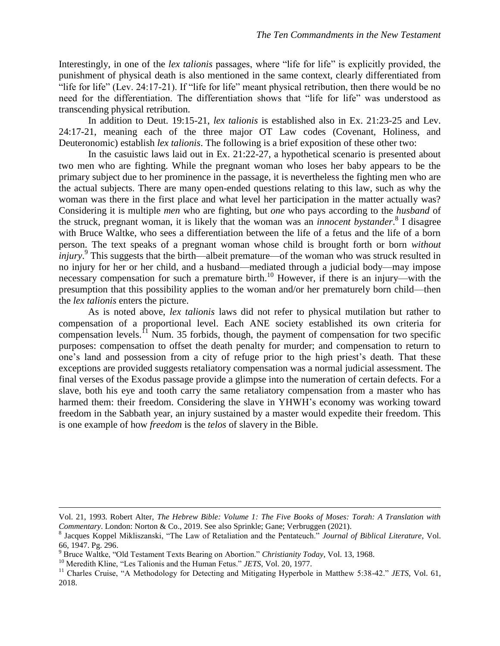Interestingly, in one of the *lex talionis* passages, where "life for life" is explicitly provided, the punishment of physical death is also mentioned in the same context, clearly differentiated from "life for life" (Lev. 24:17-21). If "life for life" meant physical retribution, then there would be no need for the differentiation. The differentiation shows that "life for life" was understood as transcending physical retribution.

In addition to Deut. 19:15-21, *lex talionis* is established also in Ex. 21:23-25 and Lev. 24:17-21, meaning each of the three major OT Law codes (Covenant, Holiness, and Deuteronomic) establish *lex talionis*. The following is a brief exposition of these other two:

In the casuistic laws laid out in Ex. 21:22-27, a hypothetical scenario is presented about two men who are fighting. While the pregnant woman who loses her baby appears to be the primary subject due to her prominence in the passage, it is nevertheless the fighting men who are the actual subjects. There are many open-ended questions relating to this law, such as why the woman was there in the first place and what level her participation in the matter actually was? Considering it is multiple *men* who are fighting, but *one* who pays according to the *husband* of the struck, pregnant woman, it is likely that the woman was an *innocent bystander*. 8 I disagree with Bruce Waltke, who sees a differentiation between the life of a fetus and the life of a born person. The text speaks of a pregnant woman whose child is brought forth or born *without injury*.<sup>9</sup> This suggests that the birth—albeit premature—of the woman who was struck resulted in no injury for her or her child, and a husband—mediated through a judicial body—may impose necessary compensation for such a premature birth.<sup>10</sup> However, if there is an injury—with the presumption that this possibility applies to the woman and/or her prematurely born child—then the *lex talionis* enters the picture.

As is noted above, *lex talionis* laws did not refer to physical mutilation but rather to compensation of a proportional level. Each ANE society established its own criteria for compensation levels.<sup> $11$ </sup> Num. 35 forbids, though, the payment of compensation for two specific purposes: compensation to offset the death penalty for murder; and compensation to return to one's land and possession from a city of refuge prior to the high priest's death. That these exceptions are provided suggests retaliatory compensation was a normal judicial assessment. The final verses of the Exodus passage provide a glimpse into the numeration of certain defects. For a slave, both his eye and tooth carry the same retaliatory compensation from a master who has harmed them: their freedom. Considering the slave in YHWH's economy was working toward freedom in the Sabbath year, an injury sustained by a master would expedite their freedom. This is one example of how *freedom* is the *telos* of slavery in the Bible.

Vol. 21, 1993. Robert Alter, *The Hebrew Bible: Volume 1: The Five Books of Moses: Torah: A Translation with Commentary*. London: Norton & Co., 2019. See also Sprinkle; Gane; Verbruggen (2021).

<sup>8</sup> Jacques Koppel Mikliszanski, "The Law of Retaliation and the Pentateuch." *Journal of Biblical Literature*, Vol. 66, 1947. Pg. 296.

<sup>9</sup> Bruce Waltke, "Old Testament Texts Bearing on Abortion." *Christianity Today*, Vol. 13, 1968.

<sup>&</sup>lt;sup>10</sup> Meredith Kline, "Les Talionis and the Human Fetus." *JETS*, Vol. 20, 1977.

<sup>11</sup> Charles Cruise, "A Methodology for Detecting and Mitigating Hyperbole in Matthew 5:38-42." *JETS*, Vol. 61, 2018.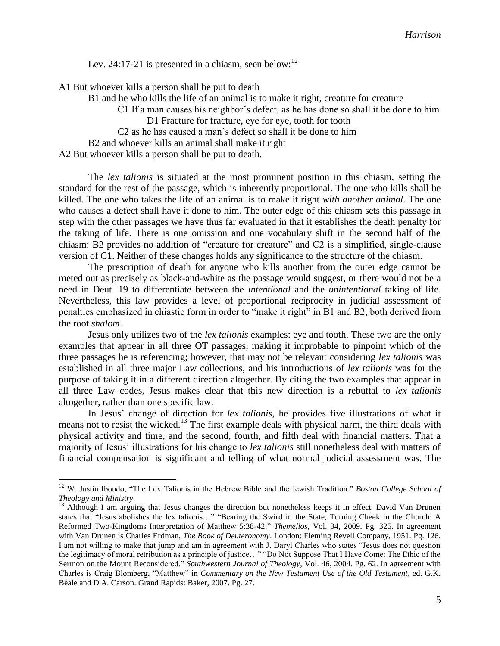Lev. 24:17-21 is presented in a chiasm, seen below: $12$ 

A1 But whoever kills a person shall be put to death

B1 and he who kills the life of an animal is to make it right, creature for creature

C1 If a man causes his neighbor's defect, as he has done so shall it be done to him D1 Fracture for fracture, eye for eye, tooth for tooth

C2 as he has caused a man's defect so shall it be done to him

B2 and whoever kills an animal shall make it right

A2 But whoever kills a person shall be put to death.

 $\overline{a}$ 

The *lex talionis* is situated at the most prominent position in this chiasm, setting the standard for the rest of the passage, which is inherently proportional. The one who kills shall be killed. The one who takes the life of an animal is to make it right *with another animal*. The one who causes a defect shall have it done to him. The outer edge of this chiasm sets this passage in step with the other passages we have thus far evaluated in that it establishes the death penalty for the taking of life. There is one omission and one vocabulary shift in the second half of the chiasm: B2 provides no addition of "creature for creature" and C2 is a simplified, single-clause version of C1. Neither of these changes holds any significance to the structure of the chiasm.

The prescription of death for anyone who kills another from the outer edge cannot be meted out as precisely as black-and-white as the passage would suggest, or there would not be a need in Deut. 19 to differentiate between the *intentional* and the *unintentional* taking of life. Nevertheless, this law provides a level of proportional reciprocity in judicial assessment of penalties emphasized in chiastic form in order to "make it right" in B1 and B2, both derived from the root *shalom*.

Jesus only utilizes two of the *lex talionis* examples: eye and tooth. These two are the only examples that appear in all three OT passages, making it improbable to pinpoint which of the three passages he is referencing; however, that may not be relevant considering *lex talionis* was established in all three major Law collections, and his introductions of *lex talionis* was for the purpose of taking it in a different direction altogether. By citing the two examples that appear in all three Law codes, Jesus makes clear that this new direction is a rebuttal to *lex talionis* altogether, rather than one specific law.

In Jesus' change of direction for *lex talionis*, he provides five illustrations of what it means not to resist the wicked.<sup>13</sup> The first example deals with physical harm, the third deals with physical activity and time, and the second, fourth, and fifth deal with financial matters. That a majority of Jesus' illustrations for his change to *lex talionis* still nonetheless deal with matters of financial compensation is significant and telling of what normal judicial assessment was. The

<sup>12</sup> W. Justin Iboudo, "The Lex Talionis in the Hebrew Bible and the Jewish Tradition." *Boston College School of Theology and Ministry*.

<sup>&</sup>lt;sup>13</sup> Although I am arguing that Jesus changes the direction but nonetheless keeps it in effect, David Van Drunen states that "Jesus abolishes the lex talionis…" "Bearing the Swird in the State, Turning Cheek in the Church: A Reformed Two-Kingdoms Interpretation of Matthew 5:38-42." *Themelios*, Vol. 34, 2009. Pg. 325. In agreement with Van Drunen is Charles Erdman, *The Book of Deuteronomy*. London: Fleming Revell Company, 1951. Pg. 126. I am not willing to make that jump and am in agreement with J. Daryl Charles who states "Jesus does not question the legitimacy of moral retribution as a principle of justice…" "Do Not Suppose That I Have Come: The Ethic of the Sermon on the Mount Reconsidered." *Southwestern Journal of Theology*, Vol. 46, 2004. Pg. 62. In agreement with Charles is Craig Blomberg, "Matthew" in *Commentary on the New Testament Use of the Old Testament*, ed. G.K. Beale and D.A. Carson. Grand Rapids: Baker, 2007. Pg. 27.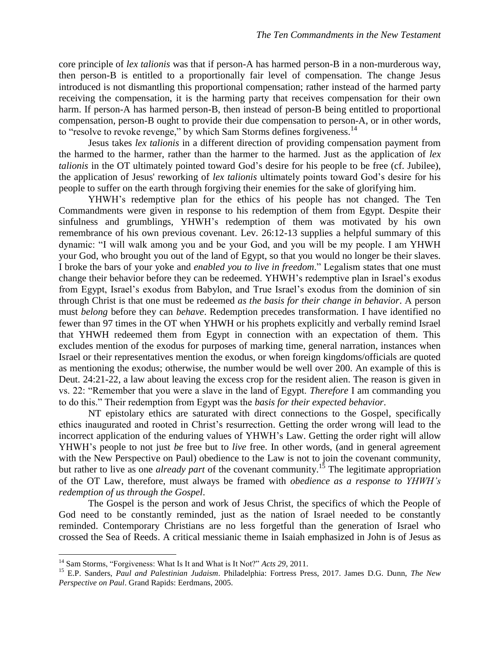core principle of *lex talionis* was that if person-A has harmed person-B in a non-murderous way, then person-B is entitled to a proportionally fair level of compensation. The change Jesus introduced is not dismantling this proportional compensation; rather instead of the harmed party receiving the compensation, it is the harming party that receives compensation for their own harm. If person-A has harmed person-B, then instead of person-B being entitled to proportional compensation, person-B ought to provide their due compensation to person-A, or in other words, to "resolve to revoke revenge," by which Sam Storms defines forgiveness.<sup>14</sup>

Jesus takes *lex talionis* in a different direction of providing compensation payment from the harmed to the harmer, rather than the harmer to the harmed. Just as the application of *lex talionis* in the OT ultimately pointed toward God's desire for his people to be free (cf. Jubilee), the application of Jesus' reworking of *lex talionis* ultimately points toward God's desire for his people to suffer on the earth through forgiving their enemies for the sake of glorifying him.

YHWH's redemptive plan for the ethics of his people has not changed. The Ten Commandments were given in response to his redemption of them from Egypt. Despite their sinfulness and grumblings, YHWH's redemption of them was motivated by his own remembrance of his own previous covenant. Lev. 26:12-13 supplies a helpful summary of this dynamic: "I will walk among you and be your God, and you will be my people. I am YHWH your God, who brought you out of the land of Egypt, so that you would no longer be their slaves. I broke the bars of your yoke and *enabled you to live in freedom*." Legalism states that one must change their behavior before they can be redeemed. YHWH's redemptive plan in Israel's exodus from Egypt, Israel's exodus from Babylon, and True Israel's exodus from the dominion of sin through Christ is that one must be redeemed *as the basis for their change in behavior*. A person must *belong* before they can *behave*. Redemption precedes transformation. I have identified no fewer than 97 times in the OT when YHWH or his prophets explicitly and verbally remind Israel that YHWH redeemed them from Egypt in connection with an expectation of them. This excludes mention of the exodus for purposes of marking time, general narration, instances when Israel or their representatives mention the exodus, or when foreign kingdoms/officials are quoted as mentioning the exodus; otherwise, the number would be well over 200. An example of this is Deut. 24:21-22, a law about leaving the excess crop for the resident alien. The reason is given in vs. 22: "Remember that you were a slave in the land of Egypt. *Therefore* I am commanding you to do this." Their redemption from Egypt was the *basis for their expected behavior*.

NT epistolary ethics are saturated with direct connections to the Gospel, specifically ethics inaugurated and rooted in Christ's resurrection. Getting the order wrong will lead to the incorrect application of the enduring values of YHWH's Law. Getting the order right will allow YHWH's people to not just *be* free but to *live* free. In other words, (and in general agreement with the New Perspective on Paul) obedience to the Law is not to join the covenant community, but rather to live as one *already part* of the covenant community.<sup>15</sup> The legitimate appropriation of the OT Law, therefore, must always be framed with *obedience as a response to YHWH's redemption of us through the Gospel*.

The Gospel is the person and work of Jesus Christ, the specifics of which the People of God need to be constantly reminded, just as the nation of Israel needed to be constantly reminded. Contemporary Christians are no less forgetful than the generation of Israel who crossed the Sea of Reeds. A critical messianic theme in Isaiah emphasized in John is of Jesus as

<sup>&</sup>lt;sup>14</sup> Sam Storms, "Forgiveness: What Is It and What is It Not?" *Acts* 29, 2011.

<sup>15</sup> E.P. Sanders, *Paul and Palestinian Judaism*. Philadelphia: Fortress Press, 2017. James D.G. Dunn, *The New Perspective on Paul*. Grand Rapids: Eerdmans, 2005.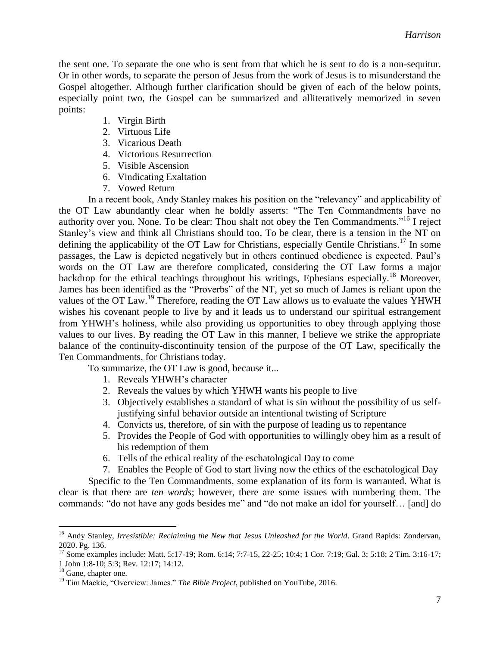the sent one. To separate the one who is sent from that which he is sent to do is a non-sequitur. Or in other words, to separate the person of Jesus from the work of Jesus is to misunderstand the Gospel altogether. Although further clarification should be given of each of the below points, especially point two, the Gospel can be summarized and alliteratively memorized in seven points:

- 1. Virgin Birth
- 2. Virtuous Life
- 3. Vicarious Death
- 4. Victorious Resurrection
- 5. Visible Ascension
- 6. Vindicating Exaltation
- 7. Vowed Return

In a recent book, Andy Stanley makes his position on the "relevancy" and applicability of the OT Law abundantly clear when he boldly asserts: "The Ten Commandments have no authority over you. None. To be clear: Thou shalt not obey the Ten Commandments."<sup>16</sup> I reject Stanley's view and think all Christians should too. To be clear, there is a tension in the NT on defining the applicability of the OT Law for Christians, especially Gentile Christians.<sup>17</sup> In some passages, the Law is depicted negatively but in others continued obedience is expected. Paul's words on the OT Law are therefore complicated, considering the OT Law forms a major backdrop for the ethical teachings throughout his writings, Ephesians especially.<sup>18</sup> Moreover, James has been identified as the "Proverbs" of the NT, yet so much of James is reliant upon the values of the OT Law.<sup>19</sup> Therefore, reading the OT Law allows us to evaluate the values YHWH wishes his covenant people to live by and it leads us to understand our spiritual estrangement from YHWH's holiness, while also providing us opportunities to obey through applying those values to our lives. By reading the OT Law in this manner, I believe we strike the appropriate balance of the continuity-discontinuity tension of the purpose of the OT Law, specifically the Ten Commandments, for Christians today.

To summarize, the OT Law is good, because it...

- 1. Reveals YHWH's character
- 2. Reveals the values by which YHWH wants his people to live
- 3. Objectively establishes a standard of what is sin without the possibility of us selfjustifying sinful behavior outside an intentional twisting of Scripture
- 4. Convicts us, therefore, of sin with the purpose of leading us to repentance
- 5. Provides the People of God with opportunities to willingly obey him as a result of his redemption of them
- 6. Tells of the ethical reality of the eschatological Day to come

7. Enables the People of God to start living now the ethics of the eschatological Day

Specific to the Ten Commandments, some explanation of its form is warranted. What is clear is that there are *ten words*; however, there are some issues with numbering them. The commands: "do not have any gods besides me" and "do not make an idol for yourself… [and] do

<sup>&</sup>lt;sup>16</sup> Andy Stanley, *Irresistible: Reclaiming the New that Jesus Unleashed for the World*. Grand Rapids: Zondervan, 2020. Pg. 136.

<sup>17</sup> Some examples include: Matt. 5:17-19; Rom. 6:14; 7:7-15, 22-25; 10:4; 1 Cor. 7:19; Gal. 3; 5:18; 2 Tim. 3:16-17; 1 John 1:8-10; 5:3; Rev. 12:17; 14:12.

<sup>&</sup>lt;sup>18</sup> Gane, chapter one.

<sup>&</sup>lt;sup>19</sup> Tim Mackie, "Overview: James." *The Bible Project*, published on YouTube, 2016.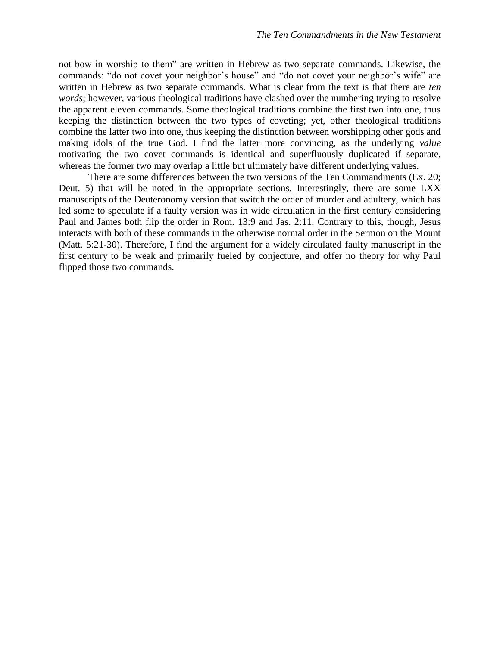not bow in worship to them" are written in Hebrew as two separate commands. Likewise, the commands: "do not covet your neighbor's house" and "do not covet your neighbor's wife" are written in Hebrew as two separate commands. What is clear from the text is that there are *ten words*; however, various theological traditions have clashed over the numbering trying to resolve the apparent eleven commands. Some theological traditions combine the first two into one, thus keeping the distinction between the two types of coveting; yet, other theological traditions combine the latter two into one, thus keeping the distinction between worshipping other gods and making idols of the true God. I find the latter more convincing, as the underlying *value*  motivating the two covet commands is identical and superfluously duplicated if separate, whereas the former two may overlap a little but ultimately have different underlying values.

There are some differences between the two versions of the Ten Commandments (Ex. 20; Deut. 5) that will be noted in the appropriate sections. Interestingly, there are some LXX manuscripts of the Deuteronomy version that switch the order of murder and adultery, which has led some to speculate if a faulty version was in wide circulation in the first century considering Paul and James both flip the order in Rom. 13:9 and Jas. 2:11. Contrary to this, though, Jesus interacts with both of these commands in the otherwise normal order in the Sermon on the Mount (Matt. 5:21-30). Therefore, I find the argument for a widely circulated faulty manuscript in the first century to be weak and primarily fueled by conjecture, and offer no theory for why Paul flipped those two commands.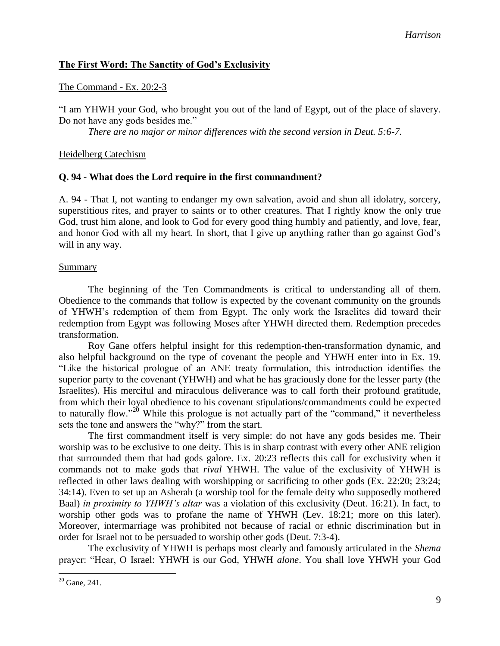# **The First Word: The Sanctity of God's Exclusivity**

### The Command - Ex. 20:2-3

"I am YHWH your God, who brought you out of the land of Egypt, out of the place of slavery. Do not have any gods besides me."

*There are no major or minor differences with the second version in Deut. 5:6-7.*

### Heidelberg Catechism

# **Q. 94 - What does the Lord require in the first commandment?**

A. 94 - That I, not wanting to endanger my own salvation, avoid and shun all idolatry, sorcery, superstitious rites, and prayer to saints or to other creatures. That I rightly know the only true God, trust him alone, and look to God for every good thing humbly and patiently, and love, fear, and honor God with all my heart. In short, that I give up anything rather than go against God's will in any way.

### **Summary**

The beginning of the Ten Commandments is critical to understanding all of them. Obedience to the commands that follow is expected by the covenant community on the grounds of YHWH's redemption of them from Egypt. The only work the Israelites did toward their redemption from Egypt was following Moses after YHWH directed them. Redemption precedes transformation.

Roy Gane offers helpful insight for this redemption-then-transformation dynamic, and also helpful background on the type of covenant the people and YHWH enter into in Ex. 19. "Like the historical prologue of an ANE treaty formulation, this introduction identifies the superior party to the covenant (YHWH) and what he has graciously done for the lesser party (the Israelites). His merciful and miraculous deliverance was to call forth their profound gratitude, from which their loyal obedience to his covenant stipulations/commandments could be expected to naturally flow."<sup>20</sup> While this prologue is not actually part of the "command," it nevertheless sets the tone and answers the "why?" from the start.

The first commandment itself is very simple: do not have any gods besides me. Their worship was to be exclusive to one deity. This is in sharp contrast with every other ANE religion that surrounded them that had gods galore. Ex. 20:23 reflects this call for exclusivity when it commands not to make gods that *rival* YHWH. The value of the exclusivity of YHWH is reflected in other laws dealing with worshipping or sacrificing to other gods (Ex. 22:20; 23:24; 34:14). Even to set up an Asherah (a worship tool for the female deity who supposedly mothered Baal) *in proximity to YHWH's altar* was a violation of this exclusivity (Deut. 16:21). In fact, to worship other gods was to profane the name of YHWH (Lev. 18:21; more on this later). Moreover, intermarriage was prohibited not because of racial or ethnic discrimination but in order for Israel not to be persuaded to worship other gods (Deut. 7:3-4).

The exclusivity of YHWH is perhaps most clearly and famously articulated in the *Shema* prayer: "Hear, O Israel: YHWH is our God, YHWH *alone*. You shall love YHWH your God

 $20$  Gane, 241.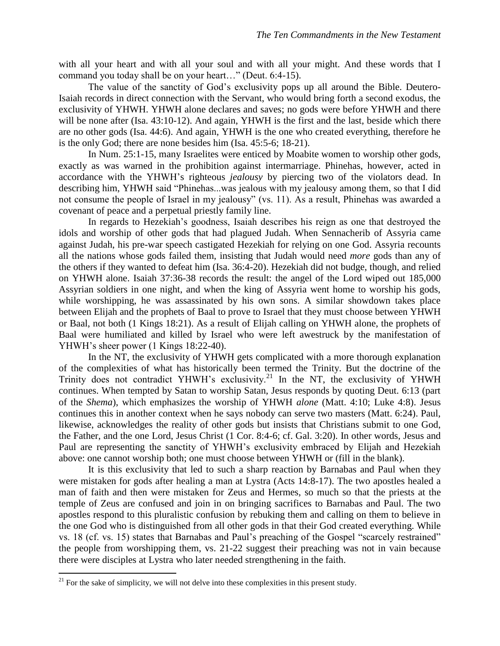with all your heart and with all your soul and with all your might. And these words that I command you today shall be on your heart…" (Deut. 6:4-15).

The value of the sanctity of God's exclusivity pops up all around the Bible. Deutero-Isaiah records in direct connection with the Servant, who would bring forth a second exodus, the exclusivity of YHWH. YHWH alone declares and saves; no gods were before YHWH and there will be none after (Isa. 43:10-12). And again, YHWH is the first and the last, beside which there are no other gods (Isa. 44:6). And again, YHWH is the one who created everything, therefore he is the only God; there are none besides him (Isa. 45:5-6; 18-21).

In Num. 25:1-15, many Israelites were enticed by Moabite women to worship other gods, exactly as was warned in the prohibition against intermarriage. Phinehas, however, acted in accordance with the YHWH's righteous *jealousy* by piercing two of the violators dead. In describing him, YHWH said "Phinehas...was jealous with my jealousy among them, so that I did not consume the people of Israel in my jealousy" (vs. 11). As a result, Phinehas was awarded a covenant of peace and a perpetual priestly family line.

In regards to Hezekiah's goodness, Isaiah describes his reign as one that destroyed the idols and worship of other gods that had plagued Judah. When Sennacherib of Assyria came against Judah, his pre-war speech castigated Hezekiah for relying on one God. Assyria recounts all the nations whose gods failed them, insisting that Judah would need *more* gods than any of the others if they wanted to defeat him (Isa. 36:4-20). Hezekiah did not budge, though, and relied on YHWH alone. Isaiah 37:36-38 records the result: the angel of the Lord wiped out 185,000 Assyrian soldiers in one night, and when the king of Assyria went home to worship his gods, while worshipping, he was assassinated by his own sons. A similar showdown takes place between Elijah and the prophets of Baal to prove to Israel that they must choose between YHWH or Baal, not both (1 Kings 18:21). As a result of Elijah calling on YHWH alone, the prophets of Baal were humiliated and killed by Israel who were left awestruck by the manifestation of YHWH's sheer power (1 Kings 18:22-40).

In the NT, the exclusivity of YHWH gets complicated with a more thorough explanation of the complexities of what has historically been termed the Trinity. But the doctrine of the Trinity does not contradict YHWH's exclusivity.<sup>21</sup> In the NT, the exclusivity of YHWH continues. When tempted by Satan to worship Satan, Jesus responds by quoting Deut. 6:13 (part of the *Shema*), which emphasizes the worship of YHWH *alone* (Matt. 4:10; Luke 4:8). Jesus continues this in another context when he says nobody can serve two masters (Matt. 6:24). Paul, likewise, acknowledges the reality of other gods but insists that Christians submit to one God, the Father, and the one Lord, Jesus Christ (1 Cor. 8:4-6; cf. Gal. 3:20). In other words, Jesus and Paul are representing the sanctity of YHWH's exclusivity embraced by Elijah and Hezekiah above: one cannot worship both; one must choose between YHWH or (fill in the blank).

It is this exclusivity that led to such a sharp reaction by Barnabas and Paul when they were mistaken for gods after healing a man at Lystra (Acts 14:8-17). The two apostles healed a man of faith and then were mistaken for Zeus and Hermes, so much so that the priests at the temple of Zeus are confused and join in on bringing sacrifices to Barnabas and Paul. The two apostles respond to this pluralistic confusion by rebuking them and calling on them to believe in the one God who is distinguished from all other gods in that their God created everything. While vs. 18 (cf. vs. 15) states that Barnabas and Paul's preaching of the Gospel "scarcely restrained" the people from worshipping them, vs. 21-22 suggest their preaching was not in vain because there were disciples at Lystra who later needed strengthening in the faith.

 $2<sup>21</sup>$  For the sake of simplicity, we will not delve into these complexities in this present study.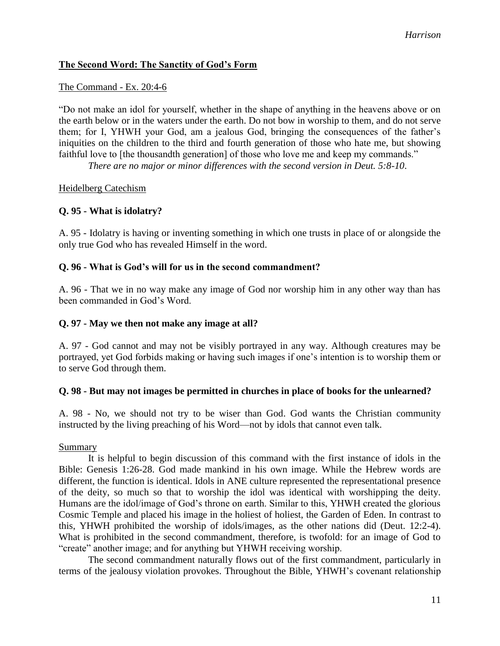# **The Second Word: The Sanctity of God's Form**

#### The Command - Ex. 20:4-6

"Do not make an idol for yourself, whether in the shape of anything in the heavens above or on the earth below or in the waters under the earth. Do not bow in worship to them, and do not serve them; for I, YHWH your God, am a jealous God, bringing the consequences of the father's iniquities on the children to the third and fourth generation of those who hate me, but showing faithful love to [the thousandth generation] of those who love me and keep my commands."

*There are no major or minor differences with the second version in Deut. 5:8-10*.

#### Heidelberg Catechism

### **Q. 95 - What is idolatry?**

A. 95 - Idolatry is having or inventing something in which one trusts in place of or alongside the only true God who has revealed Himself in the word.

### **Q. 96 - What is God's will for us in the second commandment?**

A. 96 - That we in no way make any image of God nor worship him in any other way than has been commanded in God's Word.

#### **Q. 97 - May we then not make any image at all?**

A. 97 - God cannot and may not be visibly portrayed in any way. Although creatures may be portrayed, yet God forbids making or having such images if one's intention is to worship them or to serve God through them.

### **Q. 98 - But may not images be permitted in churches in place of books for the unlearned?**

A. 98 - No, we should not try to be wiser than God. God wants the Christian community instructed by the living preaching of his Word—not by idols that cannot even talk.

#### Summary

It is helpful to begin discussion of this command with the first instance of idols in the Bible: Genesis 1:26-28. God made mankind in his own image. While the Hebrew words are different, the function is identical. Idols in ANE culture represented the representational presence of the deity, so much so that to worship the idol was identical with worshipping the deity. Humans are the idol/image of God's throne on earth. Similar to this, YHWH created the glorious Cosmic Temple and placed his image in the holiest of holiest, the Garden of Eden. In contrast to this, YHWH prohibited the worship of idols/images, as the other nations did (Deut. 12:2-4). What is prohibited in the second commandment, therefore, is twofold: for an image of God to "create" another image; and for anything but YHWH receiving worship.

The second commandment naturally flows out of the first commandment, particularly in terms of the jealousy violation provokes. Throughout the Bible, YHWH's covenant relationship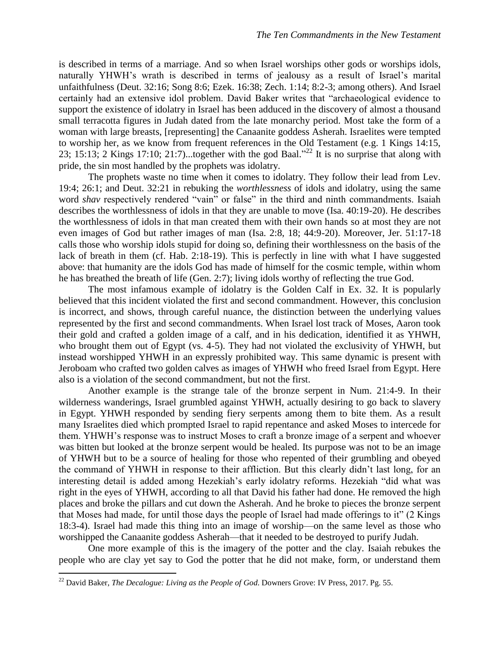is described in terms of a marriage. And so when Israel worships other gods or worships idols, naturally YHWH's wrath is described in terms of jealousy as a result of Israel's marital unfaithfulness (Deut. 32:16; Song 8:6; Ezek. 16:38; Zech. 1:14; 8:2-3; among others). And Israel certainly had an extensive idol problem. David Baker writes that "archaeological evidence to support the existence of idolatry in Israel has been adduced in the discovery of almost a thousand small terracotta figures in Judah dated from the late monarchy period. Most take the form of a woman with large breasts, [representing] the Canaanite goddess Asherah. Israelites were tempted to worship her, as we know from frequent references in the Old Testament (e.g. 1 Kings 14:15, 23; 15:13; 2 Kings 17:10; 21:7)...together with the god Baal."<sup>22</sup> It is no surprise that along with pride, the sin most handled by the prophets was idolatry.

The prophets waste no time when it comes to idolatry. They follow their lead from Lev. 19:4; 26:1; and Deut. 32:21 in rebuking the *worthlessness* of idols and idolatry, using the same word *shav* respectively rendered "vain" or false" in the third and ninth commandments. Isaiah describes the worthlessness of idols in that they are unable to move (Isa. 40:19-20). He describes the worthlessness of idols in that man created them with their own hands so at most they are not even images of God but rather images of man (Isa. 2:8, 18; 44:9-20). Moreover, Jer. 51:17-18 calls those who worship idols stupid for doing so, defining their worthlessness on the basis of the lack of breath in them (cf. Hab. 2:18-19). This is perfectly in line with what I have suggested above: that humanity are the idols God has made of himself for the cosmic temple, within whom he has breathed the breath of life (Gen. 2:7); living idols worthy of reflecting the true God.

The most infamous example of idolatry is the Golden Calf in Ex. 32. It is popularly believed that this incident violated the first and second commandment. However, this conclusion is incorrect, and shows, through careful nuance, the distinction between the underlying values represented by the first and second commandments. When Israel lost track of Moses, Aaron took their gold and crafted a golden image of a calf, and in his dedication, identified it as YHWH, who brought them out of Egypt (vs. 4-5). They had not violated the exclusivity of YHWH, but instead worshipped YHWH in an expressly prohibited way. This same dynamic is present with Jeroboam who crafted two golden calves as images of YHWH who freed Israel from Egypt. Here also is a violation of the second commandment, but not the first.

Another example is the strange tale of the bronze serpent in Num. 21:4-9. In their wilderness wanderings, Israel grumbled against YHWH, actually desiring to go back to slavery in Egypt. YHWH responded by sending fiery serpents among them to bite them. As a result many Israelites died which prompted Israel to rapid repentance and asked Moses to intercede for them. YHWH's response was to instruct Moses to craft a bronze image of a serpent and whoever was bitten but looked at the bronze serpent would be healed. Its purpose was not to be an image of YHWH but to be a source of healing for those who repented of their grumbling and obeyed the command of YHWH in response to their affliction. But this clearly didn't last long, for an interesting detail is added among Hezekiah's early idolatry reforms. Hezekiah "did what was right in the eyes of YHWH, according to all that David his father had done. He removed the high places and broke the pillars and cut down the Asherah. And he broke to pieces the bronze serpent that Moses had made, for until those days the people of Israel had made offerings to it" (2 Kings 18:3-4). Israel had made this thing into an image of worship—on the same level as those who worshipped the Canaanite goddess Asherah—that it needed to be destroyed to purify Judah.

One more example of this is the imagery of the potter and the clay. Isaiah rebukes the people who are clay yet say to God the potter that he did not make, form, or understand them

<sup>22</sup> David Baker, *The Decalogue: Living as the People of God*. Downers Grove: IV Press, 2017. Pg. 55.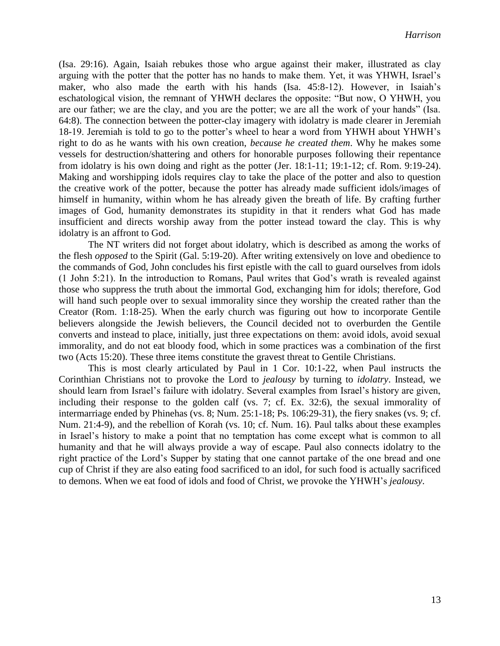(Isa. 29:16). Again, Isaiah rebukes those who argue against their maker, illustrated as clay arguing with the potter that the potter has no hands to make them. Yet, it was YHWH, Israel's maker, who also made the earth with his hands (Isa. 45:8-12). However, in Isaiah's eschatological vision, the remnant of YHWH declares the opposite: "But now, O YHWH, you are our father; we are the clay, and you are the potter; we are all the work of your hands" (Isa. 64:8). The connection between the potter-clay imagery with idolatry is made clearer in Jeremiah 18-19. Jeremiah is told to go to the potter's wheel to hear a word from YHWH about YHWH's right to do as he wants with his own creation, *because he created them*. Why he makes some vessels for destruction/shattering and others for honorable purposes following their repentance from idolatry is his own doing and right as the potter (Jer. 18:1-11; 19:1-12; cf. Rom. 9:19-24). Making and worshipping idols requires clay to take the place of the potter and also to question the creative work of the potter, because the potter has already made sufficient idols/images of himself in humanity, within whom he has already given the breath of life. By crafting further images of God, humanity demonstrates its stupidity in that it renders what God has made insufficient and directs worship away from the potter instead toward the clay. This is why idolatry is an affront to God.

The NT writers did not forget about idolatry, which is described as among the works of the flesh *opposed* to the Spirit (Gal. 5:19-20). After writing extensively on love and obedience to the commands of God, John concludes his first epistle with the call to guard ourselves from idols (1 John 5:21). In the introduction to Romans, Paul writes that God's wrath is revealed against those who suppress the truth about the immortal God, exchanging him for idols; therefore, God will hand such people over to sexual immorality since they worship the created rather than the Creator (Rom. 1:18-25). When the early church was figuring out how to incorporate Gentile believers alongside the Jewish believers, the Council decided not to overburden the Gentile converts and instead to place, initially, just three expectations on them: avoid idols, avoid sexual immorality, and do not eat bloody food, which in some practices was a combination of the first two (Acts 15:20). These three items constitute the gravest threat to Gentile Christians.

This is most clearly articulated by Paul in 1 Cor. 10:1-22, when Paul instructs the Corinthian Christians not to provoke the Lord to *jealousy* by turning to *idolatry*. Instead, we should learn from Israel's failure with idolatry. Several examples from Israel's history are given, including their response to the golden calf (vs. 7; cf. Ex. 32:6), the sexual immorality of intermarriage ended by Phinehas (vs. 8; Num. 25:1-18; Ps. 106:29-31), the fiery snakes (vs. 9; cf. Num. 21:4-9), and the rebellion of Korah (vs. 10; cf. Num. 16). Paul talks about these examples in Israel's history to make a point that no temptation has come except what is common to all humanity and that he will always provide a way of escape. Paul also connects idolatry to the right practice of the Lord's Supper by stating that one cannot partake of the one bread and one cup of Christ if they are also eating food sacrificed to an idol, for such food is actually sacrificed to demons. When we eat food of idols and food of Christ, we provoke the YHWH's *jealousy*.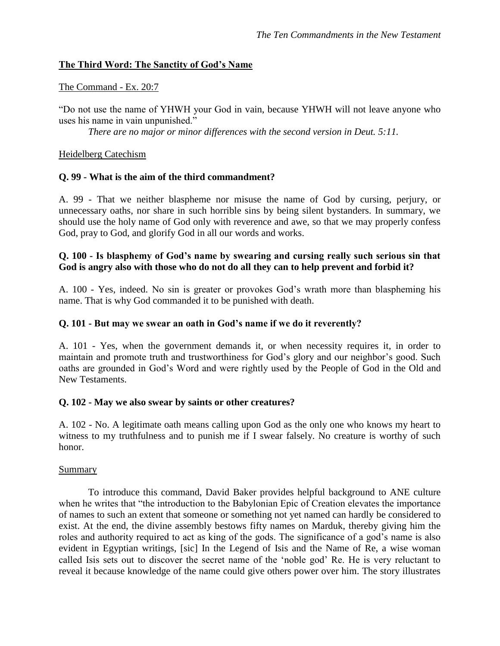# **The Third Word: The Sanctity of God's Name**

# The Command - Ex. 20:7

"Do not use the name of YHWH your God in vain, because YHWH will not leave anyone who uses his name in vain unpunished."

*There are no major or minor differences with the second version in Deut. 5:11.*

### Heidelberg Catechism

# **Q. 99 - What is the aim of the third commandment?**

A. 99 - That we neither blaspheme nor misuse the name of God by cursing, perjury, or unnecessary oaths, nor share in such horrible sins by being silent bystanders. In summary, we should use the holy name of God only with reverence and awe, so that we may properly confess God, pray to God, and glorify God in all our words and works.

### **Q. 100 - Is blasphemy of God's name by swearing and cursing really such serious sin that God is angry also with those who do not do all they can to help prevent and forbid it?**

A. 100 - Yes, indeed. No sin is greater or provokes God's wrath more than blaspheming his name. That is why God commanded it to be punished with death.

# **Q. 101 - But may we swear an oath in God's name if we do it reverently?**

A. 101 - Yes, when the government demands it, or when necessity requires it, in order to maintain and promote truth and trustworthiness for God's glory and our neighbor's good. Such oaths are grounded in God's Word and were rightly used by the People of God in the Old and New Testaments.

# **Q. 102 - May we also swear by saints or other creatures?**

A. 102 - No. A legitimate oath means calling upon God as the only one who knows my heart to witness to my truthfulness and to punish me if I swear falsely. No creature is worthy of such honor.

### **Summary**

To introduce this command, David Baker provides helpful background to ANE culture when he writes that "the introduction to the Babylonian Epic of Creation elevates the importance of names to such an extent that someone or something not yet named can hardly be considered to exist. At the end, the divine assembly bestows fifty names on Marduk, thereby giving him the roles and authority required to act as king of the gods. The significance of a god's name is also evident in Egyptian writings, [sic] In the Legend of Isis and the Name of Re, a wise woman called Isis sets out to discover the secret name of the 'noble god' Re. He is very reluctant to reveal it because knowledge of the name could give others power over him. The story illustrates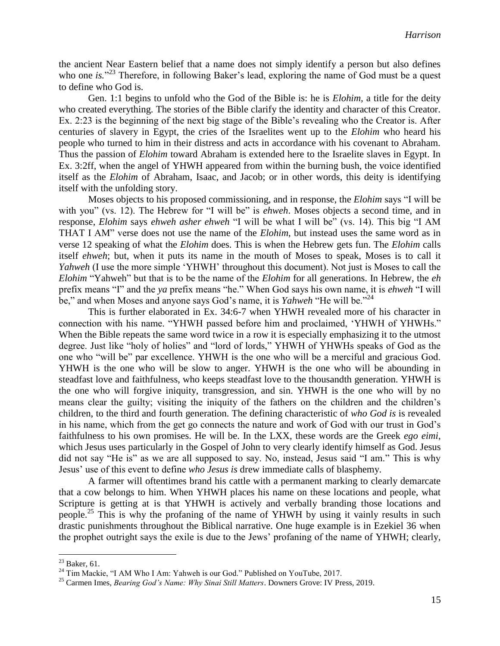the ancient Near Eastern belief that a name does not simply identify a person but also defines who one *is*.<sup>23</sup> Therefore, in following Baker's lead, exploring the name of God must be a quest to define who God is.

Gen. 1:1 begins to unfold who the God of the Bible is: he is *Elohim,* a title for the deity who created everything. The stories of the Bible clarify the identity and character of this Creator. Ex. 2:23 is the beginning of the next big stage of the Bible's revealing who the Creator is. After centuries of slavery in Egypt, the cries of the Israelites went up to the *Elohim* who heard his people who turned to him in their distress and acts in accordance with his covenant to Abraham. Thus the passion of *Elohim* toward Abraham is extended here to the Israelite slaves in Egypt. In Ex. 3:2ff, when the angel of YHWH appeared from within the burning bush, the voice identified itself as the *Elohim* of Abraham, Isaac, and Jacob; or in other words, this deity is identifying itself with the unfolding story.

Moses objects to his proposed commissioning, and in response, the *Elohim* says "I will be with you" (vs. 12). The Hebrew for "I will be" is *ehweh*. Moses objects a second time, and in response, *Elohim* says *ehweh asher ehweh* "I will be what I will be" (vs. 14). This big "I AM THAT I AM" verse does not use the name of the *Elohim*, but instead uses the same word as in verse 12 speaking of what the *Elohim* does. This is when the Hebrew gets fun. The *Elohim* calls itself *ehweh*; but, when it puts its name in the mouth of Moses to speak, Moses is to call it *Yahweh* (I use the more simple 'YHWH' throughout this document). Not just is Moses to call the *Elohim* "Yahweh" but that is to be the name of the *Elohim* for all generations. In Hebrew, the *eh* prefix means "I" and the *ya* prefix means "he." When God says his own name, it is *ehweh* "I will be," and when Moses and anyone says God's name, it is *Yahweh* "He will be."<sup>24</sup>

This is further elaborated in Ex. 34:6-7 when YHWH revealed more of his character in connection with his name. "YHWH passed before him and proclaimed, 'YHWH of YHWHs." When the Bible repeats the same word twice in a row it is especially emphasizing it to the utmost degree. Just like "holy of holies" and "lord of lords," YHWH of YHWHs speaks of God as the one who "will be" par excellence. YHWH is the one who will be a merciful and gracious God. YHWH is the one who will be slow to anger. YHWH is the one who will be abounding in steadfast love and faithfulness, who keeps steadfast love to the thousandth generation. YHWH is the one who will forgive iniquity, transgression, and sin. YHWH is the one who will by no means clear the guilty; visiting the iniquity of the fathers on the children and the children's children, to the third and fourth generation. The defining characteristic of *who God is* is revealed in his name, which from the get go connects the nature and work of God with our trust in God's faithfulness to his own promises. He will be. In the LXX, these words are the Greek *ego eimi*, which Jesus uses particularly in the Gospel of John to very clearly identify himself as God. Jesus did not say "He is" as we are all supposed to say. No, instead, Jesus said "I am." This is why Jesus' use of this event to define *who Jesus is* drew immediate calls of blasphemy.

A farmer will oftentimes brand his cattle with a permanent marking to clearly demarcate that a cow belongs to him. When YHWH places his name on these locations and people, what Scripture is getting at is that YHWH is actively and verbally branding those locations and people.<sup>25</sup> This is why the profaning of the name of YHWH by using it vainly results in such drastic punishments throughout the Biblical narrative. One huge example is in Ezekiel 36 when the prophet outright says the exile is due to the Jews' profaning of the name of YHWH; clearly,

 $^{23}$  Baker, 61.

<sup>&</sup>lt;sup>24</sup> Tim Mackie, "I AM Who I Am: Yahweh is our God." Published on YouTube, 2017.

<sup>25</sup> Carmen Imes, *Bearing God's Name: Why Sinai Still Matters*. Downers Grove: IV Press, 2019.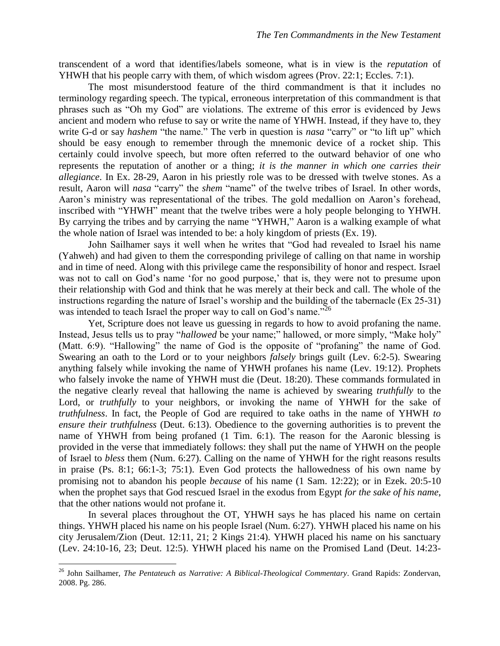transcendent of a word that identifies/labels someone, what is in view is the *reputation* of YHWH that his people carry with them, of which wisdom agrees (Prov. 22:1; Eccles. 7:1).

The most misunderstood feature of the third commandment is that it includes no terminology regarding speech. The typical, erroneous interpretation of this commandment is that phrases such as "Oh my God" are violations. The extreme of this error is evidenced by Jews ancient and modern who refuse to say or write the name of YHWH. Instead, if they have to, they write G-d or say *hashem* "the name." The verb in question is *nasa* "carry" or "to lift up" which should be easy enough to remember through the mnemonic device of a rocket ship. This certainly could involve speech, but more often referred to the outward behavior of one who represents the reputation of another or a thing; *it is the manner in which one carries their allegiance*. In Ex. 28-29, Aaron in his priestly role was to be dressed with twelve stones. As a result, Aaron will *nasa* "carry" the *shem* "name" of the twelve tribes of Israel. In other words, Aaron's ministry was representational of the tribes. The gold medallion on Aaron's forehead, inscribed with "YHWH" meant that the twelve tribes were a holy people belonging to YHWH. By carrying the tribes and by carrying the name "YHWH," Aaron is a walking example of what the whole nation of Israel was intended to be: a holy kingdom of priests (Ex. 19).

John Sailhamer says it well when he writes that "God had revealed to Israel his name (Yahweh) and had given to them the corresponding privilege of calling on that name in worship and in time of need. Along with this privilege came the responsibility of honor and respect. Israel was not to call on God's name 'for no good purpose,' that is, they were not to presume upon their relationship with God and think that he was merely at their beck and call. The whole of the instructions regarding the nature of Israel's worship and the building of the tabernacle (Ex 25-31) was intended to teach Israel the proper way to call on God's name.<sup>726</sup>

Yet, Scripture does not leave us guessing in regards to how to avoid profaning the name. Instead, Jesus tells us to pray "*hallowed* be your name;" hallowed, or more simply, "Make holy" (Matt. 6:9). "Hallowing" the name of God is the opposite of "profaning" the name of God. Swearing an oath to the Lord or to your neighbors *falsely* brings guilt (Lev. 6:2-5). Swearing anything falsely while invoking the name of YHWH profanes his name (Lev. 19:12). Prophets who falsely invoke the name of YHWH must die (Deut. 18:20). These commands formulated in the negative clearly reveal that hallowing the name is achieved by swearing *truthfully* to the Lord, or *truthfully* to your neighbors, or invoking the name of YHWH for the sake of *truthfulness*. In fact, the People of God are required to take oaths in the name of YHWH *to ensure their truthfulness* (Deut. 6:13). Obedience to the governing authorities is to prevent the name of YHWH from being profaned (1 Tim. 6:1). The reason for the Aaronic blessing is provided in the verse that immediately follows: they shall put the name of YHWH on the people of Israel to *bless* them (Num. 6:27). Calling on the name of YHWH for the right reasons results in praise (Ps. 8:1; 66:1-3; 75:1). Even God protects the hallowedness of his own name by promising not to abandon his people *because* of his name (1 Sam. 12:22); or in Ezek. 20:5-10 when the prophet says that God rescued Israel in the exodus from Egypt *for the sake of his name*, that the other nations would not profane it.

In several places throughout the OT, YHWH says he has placed his name on certain things. YHWH placed his name on his people Israel (Num. 6:27). YHWH placed his name on his city Jerusalem/Zion (Deut. 12:11, 21; 2 Kings 21:4). YHWH placed his name on his sanctuary (Lev. 24:10-16, 23; Deut. 12:5). YHWH placed his name on the Promised Land (Deut. 14:23-

<sup>26</sup> John Sailhamer, *The Pentateuch as Narrative: A Biblical-Theological Commentary*. Grand Rapids: Zondervan, 2008. Pg. 286.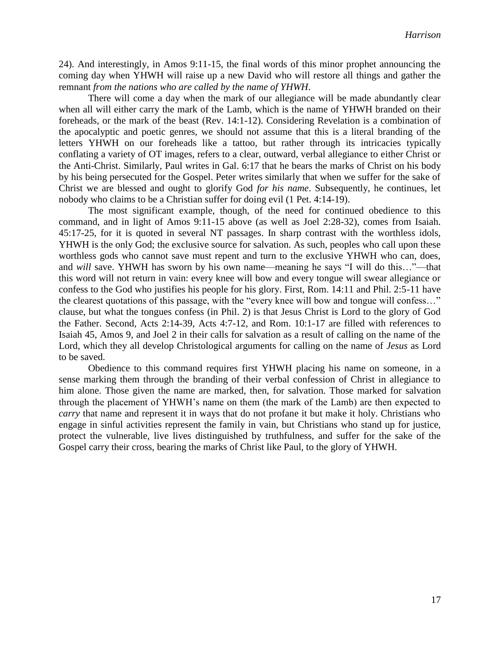24). And interestingly, in Amos 9:11-15, the final words of this minor prophet announcing the coming day when YHWH will raise up a new David who will restore all things and gather the remnant *from the nations who are called by the name of YHWH*.

There will come a day when the mark of our allegiance will be made abundantly clear when all will either carry the mark of the Lamb, which is the name of YHWH branded on their foreheads, or the mark of the beast (Rev. 14:1-12). Considering Revelation is a combination of the apocalyptic and poetic genres, we should not assume that this is a literal branding of the letters YHWH on our foreheads like a tattoo, but rather through its intricacies typically conflating a variety of OT images, refers to a clear, outward, verbal allegiance to either Christ or the Anti-Christ. Similarly, Paul writes in Gal. 6:17 that he bears the marks of Christ on his body by his being persecuted for the Gospel. Peter writes similarly that when we suffer for the sake of Christ we are blessed and ought to glorify God *for his name*. Subsequently, he continues, let nobody who claims to be a Christian suffer for doing evil (1 Pet. 4:14-19).

The most significant example, though, of the need for continued obedience to this command, and in light of Amos 9:11-15 above (as well as Joel 2:28-32), comes from Isaiah. 45:17-25, for it is quoted in several NT passages. In sharp contrast with the worthless idols, YHWH is the only God; the exclusive source for salvation. As such, peoples who call upon these worthless gods who cannot save must repent and turn to the exclusive YHWH who can, does, and *will* save. YHWH has sworn by his own name—meaning he says "I will do this…"—that this word will not return in vain: every knee will bow and every tongue will swear allegiance or confess to the God who justifies his people for his glory. First, Rom. 14:11 and Phil. 2:5-11 have the clearest quotations of this passage, with the "every knee will bow and tongue will confess…" clause, but what the tongues confess (in Phil. 2) is that Jesus Christ is Lord to the glory of God the Father. Second, Acts 2:14-39, Acts 4:7-12, and Rom. 10:1-17 are filled with references to Isaiah 45, Amos 9, and Joel 2 in their calls for salvation as a result of calling on the name of the Lord, which they all develop Christological arguments for calling on the name of *Jesus* as Lord to be saved.

Obedience to this command requires first YHWH placing his name on someone, in a sense marking them through the branding of their verbal confession of Christ in allegiance to him alone. Those given the name are marked, then, for salvation. Those marked for salvation through the placement of YHWH's name on them (the mark of the Lamb) are then expected to *carry* that name and represent it in ways that do not profane it but make it holy. Christians who engage in sinful activities represent the family in vain, but Christians who stand up for justice, protect the vulnerable, live lives distinguished by truthfulness, and suffer for the sake of the Gospel carry their cross, bearing the marks of Christ like Paul, to the glory of YHWH.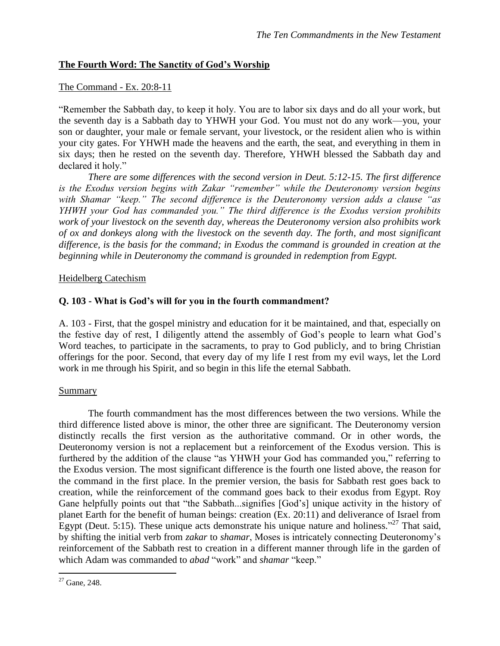# **The Fourth Word: The Sanctity of God's Worship**

#### The Command - Ex. 20:8-11

"Remember the Sabbath day, to keep it holy. You are to labor six days and do all your work, but the seventh day is a Sabbath day to YHWH your God. You must not do any work—you, your son or daughter, your male or female servant, your livestock, or the resident alien who is within your city gates. For YHWH made the heavens and the earth, the seat, and everything in them in six days; then he rested on the seventh day. Therefore, YHWH blessed the Sabbath day and declared it holy."

*There are some differences with the second version in Deut. 5:12-15. The first difference is the Exodus version begins with Zakar "remember" while the Deuteronomy version begins with Shamar "keep." The second difference is the Deuteronomy version adds a clause "as YHWH your God has commanded you." The third difference is the Exodus version prohibits work of your livestock on the seventh day, whereas the Deuteronomy version also prohibits work of ox and donkeys along with the livestock on the seventh day. The forth, and most significant difference, is the basis for the command; in Exodus the command is grounded in creation at the beginning while in Deuteronomy the command is grounded in redemption from Egypt.*

#### Heidelberg Catechism

### **Q. 103 - What is God's will for you in the fourth commandment?**

A. 103 - First, that the gospel ministry and education for it be maintained, and that, especially on the festive day of rest, I diligently attend the assembly of God's people to learn what God's Word teaches, to participate in the sacraments, to pray to God publicly, and to bring Christian offerings for the poor. Second, that every day of my life I rest from my evil ways, let the Lord work in me through his Spirit, and so begin in this life the eternal Sabbath.

#### Summary

The fourth commandment has the most differences between the two versions. While the third difference listed above is minor, the other three are significant. The Deuteronomy version distinctly recalls the first version as the authoritative command. Or in other words, the Deuteronomy version is not a replacement but a reinforcement of the Exodus version. This is furthered by the addition of the clause "as YHWH your God has commanded you," referring to the Exodus version. The most significant difference is the fourth one listed above, the reason for the command in the first place. In the premier version, the basis for Sabbath rest goes back to creation, while the reinforcement of the command goes back to their exodus from Egypt. Roy Gane helpfully points out that "the Sabbath...signifies [God's] unique activity in the history of planet Earth for the benefit of human beings: creation (Ex. 20:11) and deliverance of Israel from Egypt (Deut. 5:15). These unique acts demonstrate his unique nature and holiness."<sup>27</sup> That said, by shifting the initial verb from *zakar* to *shamar*, Moses is intricately connecting Deuteronomy's reinforcement of the Sabbath rest to creation in a different manner through life in the garden of which Adam was commanded to *abad* "work" and *shamar* "keep."

 $\overline{a}$  $2^2$  Gane, 248.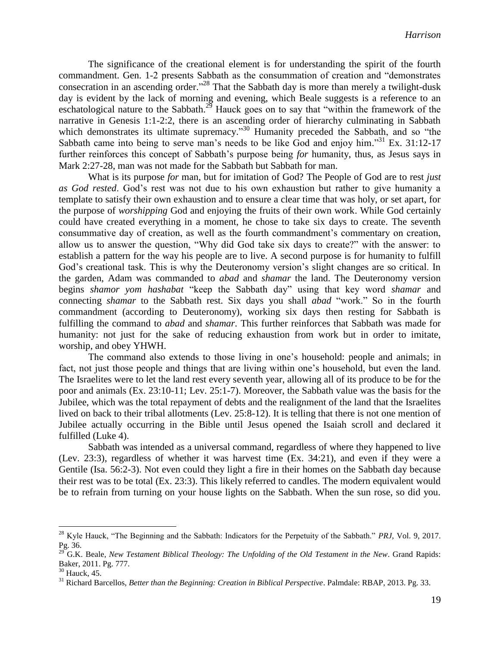The significance of the creational element is for understanding the spirit of the fourth commandment. Gen. 1-2 presents Sabbath as the consummation of creation and "demonstrates consecration in an ascending order."<sup>28</sup> That the Sabbath day is more than merely a twilight-dusk day is evident by the lack of morning and evening, which Beale suggests is a reference to an eschatological nature to the Sabbath.<sup>29</sup> Hauck goes on to say that "within the framework of the narrative in Genesis 1:1-2:2, there is an ascending order of hierarchy culminating in Sabbath which demonstrates its ultimate supremacy."<sup>30</sup> Humanity preceded the Sabbath, and so "the Sabbath came into being to serve man's needs to be like God and enjoy him."<sup>31</sup> Ex. 31:12-17 further reinforces this concept of Sabbath's purpose being *for* humanity, thus, as Jesus says in Mark 2:27-28, man was not made for the Sabbath but Sabbath for man.

What is its purpose *for* man, but for imitation of God? The People of God are to rest *just as God rested*. God's rest was not due to his own exhaustion but rather to give humanity a template to satisfy their own exhaustion and to ensure a clear time that was holy, or set apart, for the purpose of *worshipping* God and enjoying the fruits of their own work. While God certainly could have created everything in a moment, he chose to take six days to create. The seventh consummative day of creation, as well as the fourth commandment's commentary on creation, allow us to answer the question, "Why did God take six days to create?" with the answer: to establish a pattern for the way his people are to live. A second purpose is for humanity to fulfill God's creational task. This is why the Deuteronomy version's slight changes are so critical. In the garden, Adam was commanded to *abad* and *shamar* the land. The Deuteronomy version begins *shamor yom hashabat* "keep the Sabbath day" using that key word *shamar* and connecting *shamar* to the Sabbath rest. Six days you shall *abad* "work." So in the fourth commandment (according to Deuteronomy), working six days then resting for Sabbath is fulfilling the command to *abad* and *shamar*. This further reinforces that Sabbath was made for humanity: not just for the sake of reducing exhaustion from work but in order to imitate, worship, and obey YHWH.

The command also extends to those living in one's household: people and animals; in fact, not just those people and things that are living within one's household, but even the land. The Israelites were to let the land rest every seventh year, allowing all of its produce to be for the poor and animals (Ex. 23:10-11; Lev. 25:1-7). Moreover, the Sabbath value was the basis for the Jubilee, which was the total repayment of debts and the realignment of the land that the Israelites lived on back to their tribal allotments (Lev. 25:8-12). It is telling that there is not one mention of Jubilee actually occurring in the Bible until Jesus opened the Isaiah scroll and declared it fulfilled (Luke 4).

Sabbath was intended as a universal command, regardless of where they happened to live (Lev. 23:3), regardless of whether it was harvest time (Ex. 34:21), and even if they were a Gentile (Isa. 56:2-3). Not even could they light a fire in their homes on the Sabbath day because their rest was to be total (Ex. 23:3). This likely referred to candles. The modern equivalent would be to refrain from turning on your house lights on the Sabbath. When the sun rose, so did you.

<sup>28</sup> Kyle Hauck, "The Beginning and the Sabbath: Indicators for the Perpetuity of the Sabbath." *PRJ*, Vol. 9, 2017. Pg. 36.

<sup>29</sup> G.K. Beale, *New Testament Biblical Theology: The Unfolding of the Old Testament in the New*. Grand Rapids: Baker, 2011. Pg. 777.

 $30$  Hauck, 45.

<sup>31</sup> Richard Barcellos, *Better than the Beginning: Creation in Biblical Perspective*. Palmdale: RBAP, 2013. Pg. 33.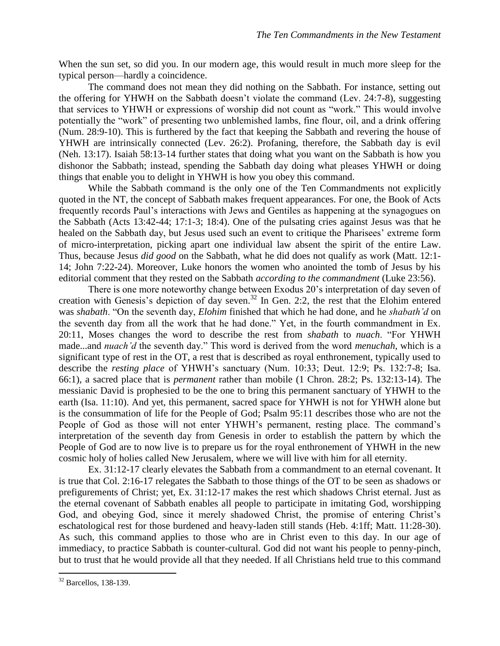When the sun set, so did you. In our modern age, this would result in much more sleep for the typical person—hardly a coincidence.

The command does not mean they did nothing on the Sabbath. For instance, setting out the offering for YHWH on the Sabbath doesn't violate the command (Lev. 24:7-8), suggesting that services to YHWH or expressions of worship did not count as "work." This would involve potentially the "work" of presenting two unblemished lambs, fine flour, oil, and a drink offering (Num. 28:9-10). This is furthered by the fact that keeping the Sabbath and revering the house of YHWH are intrinsically connected (Lev. 26:2). Profaning, therefore, the Sabbath day is evil (Neh. 13:17). Isaiah 58:13-14 further states that doing what you want on the Sabbath is how you dishonor the Sabbath; instead, spending the Sabbath day doing what pleases YHWH or doing things that enable you to delight in YHWH is how you obey this command.

While the Sabbath command is the only one of the Ten Commandments not explicitly quoted in the NT, the concept of Sabbath makes frequent appearances. For one, the Book of Acts frequently records Paul's interactions with Jews and Gentiles as happening at the synagogues on the Sabbath (Acts 13:42-44; 17:1-3; 18:4). One of the pulsating cries against Jesus was that he healed on the Sabbath day, but Jesus used such an event to critique the Pharisees' extreme form of micro-interpretation, picking apart one individual law absent the spirit of the entire Law. Thus, because Jesus *did good* on the Sabbath, what he did does not qualify as work (Matt. 12:1- 14; John 7:22-24). Moreover, Luke honors the women who anointed the tomb of Jesus by his editorial comment that they rested on the Sabbath *according to the commandment* (Luke 23:56).

There is one more noteworthy change between Exodus 20's interpretation of day seven of creation with Genesis's depiction of day seven. <sup>32</sup> In Gen. 2:2, the rest that the Elohim entered was *shabath*. "On the seventh day, *Elohim* finished that which he had done, and he *shabath'd* on the seventh day from all the work that he had done." Yet, in the fourth commandment in Ex. 20:11, Moses changes the word to describe the rest from *shabath* to *nuach*. "For YHWH made...and *nuach'd* the seventh day." This word is derived from the word *menuchah*, which is a significant type of rest in the OT, a rest that is described as royal enthronement, typically used to describe the *resting place* of YHWH's sanctuary (Num. 10:33; Deut. 12:9; Ps. 132:7-8; Isa. 66:1), a sacred place that is *permanent* rather than mobile (1 Chron. 28:2; Ps. 132:13-14). The messianic David is prophesied to be the one to bring this permanent sanctuary of YHWH to the earth (Isa. 11:10). And yet, this permanent, sacred space for YHWH is not for YHWH alone but is the consummation of life for the People of God; Psalm 95:11 describes those who are not the People of God as those will not enter YHWH's permanent, resting place. The command's interpretation of the seventh day from Genesis in order to establish the pattern by which the People of God are to now live is to prepare us for the royal enthronement of YHWH in the new cosmic holy of holies called New Jerusalem, where we will live with him for all eternity.

Ex. 31:12-17 clearly elevates the Sabbath from a commandment to an eternal covenant. It is true that Col. 2:16-17 relegates the Sabbath to those things of the OT to be seen as shadows or prefigurements of Christ; yet, Ex. 31:12-17 makes the rest which shadows Christ eternal. Just as the eternal covenant of Sabbath enables all people to participate in imitating God, worshipping God, and obeying God, since it merely shadowed Christ, the promise of entering Christ's eschatological rest for those burdened and heavy-laden still stands (Heb. 4:1ff; Matt. 11:28-30). As such, this command applies to those who are in Christ even to this day. In our age of immediacy, to practice Sabbath is counter-cultural. God did not want his people to penny-pinch, but to trust that he would provide all that they needed. If all Christians held true to this command

<sup>32</sup> Barcellos, 138-139.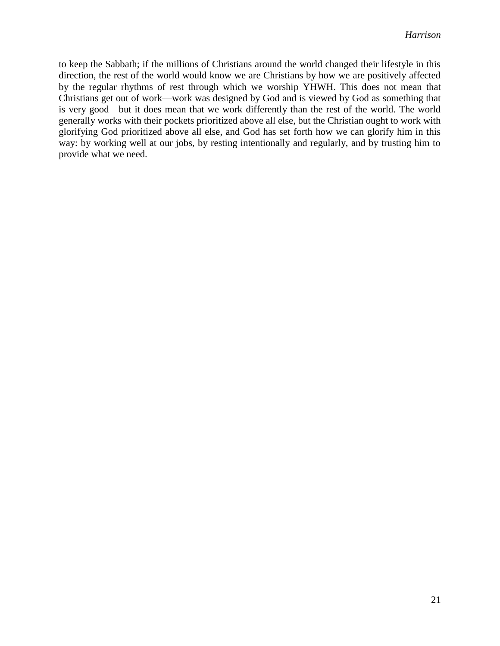to keep the Sabbath; if the millions of Christians around the world changed their lifestyle in this direction, the rest of the world would know we are Christians by how we are positively affected by the regular rhythms of rest through which we worship YHWH. This does not mean that Christians get out of work—work was designed by God and is viewed by God as something that is very good—but it does mean that we work differently than the rest of the world. The world generally works with their pockets prioritized above all else, but the Christian ought to work with glorifying God prioritized above all else, and God has set forth how we can glorify him in this way: by working well at our jobs, by resting intentionally and regularly, and by trusting him to provide what we need.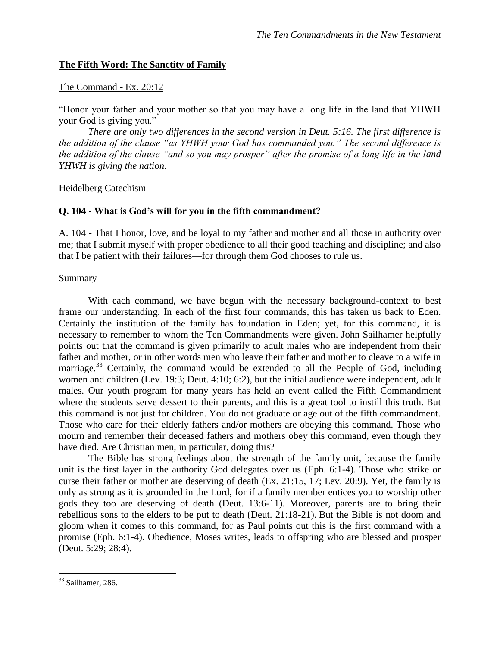# **The Fifth Word: The Sanctity of Family**

### The Command - Ex. 20:12

"Honor your father and your mother so that you may have a long life in the land that YHWH your God is giving you."

*There are only two differences in the second version in Deut. 5:16. The first difference is the addition of the clause "as YHWH your God has commanded you." The second difference is the addition of the clause "and so you may prosper" after the promise of a long life in the land YHWH is giving the nation.*

Heidelberg Catechism

# **Q. 104 - What is God's will for you in the fifth commandment?**

A. 104 - That I honor, love, and be loyal to my father and mother and all those in authority over me; that I submit myself with proper obedience to all their good teaching and discipline; and also that I be patient with their failures—for through them God chooses to rule us.

### **Summary**

With each command, we have begun with the necessary background-context to best frame our understanding. In each of the first four commands, this has taken us back to Eden. Certainly the institution of the family has foundation in Eden; yet, for this command, it is necessary to remember to whom the Ten Commandments were given. John Sailhamer helpfully points out that the command is given primarily to adult males who are independent from their father and mother, or in other words men who leave their father and mother to cleave to a wife in marriage.<sup>33</sup> Certainly, the command would be extended to all the People of God, including women and children (Lev. 19:3; Deut. 4:10; 6:2), but the initial audience were independent, adult males. Our youth program for many years has held an event called the Fifth Commandment where the students serve dessert to their parents, and this is a great tool to instill this truth. But this command is not just for children. You do not graduate or age out of the fifth commandment. Those who care for their elderly fathers and/or mothers are obeying this command. Those who mourn and remember their deceased fathers and mothers obey this command, even though they have died. Are Christian men, in particular, doing this?

The Bible has strong feelings about the strength of the family unit, because the family unit is the first layer in the authority God delegates over us (Eph. 6:1-4). Those who strike or curse their father or mother are deserving of death (Ex. 21:15, 17; Lev. 20:9). Yet, the family is only as strong as it is grounded in the Lord, for if a family member entices you to worship other gods they too are deserving of death (Deut. 13:6-11). Moreover, parents are to bring their rebellious sons to the elders to be put to death (Deut. 21:18-21). But the Bible is not doom and gloom when it comes to this command, for as Paul points out this is the first command with a promise (Eph. 6:1-4). Obedience, Moses writes, leads to offspring who are blessed and prosper (Deut. 5:29; 28:4).

 $33$  Sailhamer, 286.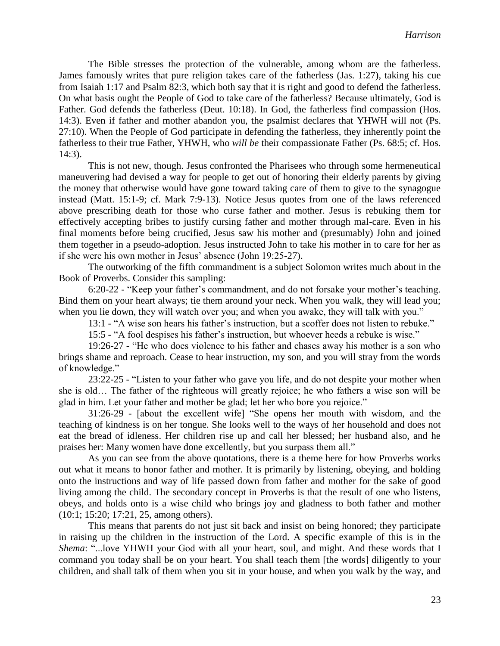The Bible stresses the protection of the vulnerable, among whom are the fatherless. James famously writes that pure religion takes care of the fatherless (Jas. 1:27), taking his cue from Isaiah 1:17 and Psalm 82:3, which both say that it is right and good to defend the fatherless. On what basis ought the People of God to take care of the fatherless? Because ultimately, God is Father. God defends the fatherless (Deut. 10:18). In God, the fatherless find compassion (Hos. 14:3). Even if father and mother abandon you, the psalmist declares that YHWH will not (Ps. 27:10). When the People of God participate in defending the fatherless, they inherently point the fatherless to their true Father, YHWH, who *will be* their compassionate Father (Ps. 68:5; cf. Hos. 14:3).

This is not new, though. Jesus confronted the Pharisees who through some hermeneutical maneuvering had devised a way for people to get out of honoring their elderly parents by giving the money that otherwise would have gone toward taking care of them to give to the synagogue instead (Matt. 15:1-9; cf. Mark 7:9-13). Notice Jesus quotes from one of the laws referenced above prescribing death for those who curse father and mother. Jesus is rebuking them for effectively accepting bribes to justify cursing father and mother through mal-care. Even in his final moments before being crucified, Jesus saw his mother and (presumably) John and joined them together in a pseudo-adoption. Jesus instructed John to take his mother in to care for her as if she were his own mother in Jesus' absence (John 19:25-27).

The outworking of the fifth commandment is a subject Solomon writes much about in the Book of Proverbs. Consider this sampling:

6:20-22 - "Keep your father's commandment, and do not forsake your mother's teaching. Bind them on your heart always; tie them around your neck. When you walk, they will lead you; when you lie down, they will watch over you; and when you awake, they will talk with you."

13:1 - "A wise son hears his father's instruction, but a scoffer does not listen to rebuke."

15:5 - "A fool despises his father's instruction, but whoever heeds a rebuke is wise."

19:26-27 - "He who does violence to his father and chases away his mother is a son who brings shame and reproach. Cease to hear instruction, my son, and you will stray from the words of knowledge."

23:22-25 - "Listen to your father who gave you life, and do not despite your mother when she is old… The father of the righteous will greatly rejoice; he who fathers a wise son will be glad in him. Let your father and mother be glad; let her who bore you rejoice."

31:26-29 - [about the excellent wife] "She opens her mouth with wisdom, and the teaching of kindness is on her tongue. She looks well to the ways of her household and does not eat the bread of idleness. Her children rise up and call her blessed; her husband also, and he praises her: Many women have done excellently, but you surpass them all."

As you can see from the above quotations, there is a theme here for how Proverbs works out what it means to honor father and mother. It is primarily by listening, obeying, and holding onto the instructions and way of life passed down from father and mother for the sake of good living among the child. The secondary concept in Proverbs is that the result of one who listens, obeys, and holds onto is a wise child who brings joy and gladness to both father and mother (10:1; 15:20; 17:21, 25, among others).

This means that parents do not just sit back and insist on being honored; they participate in raising up the children in the instruction of the Lord. A specific example of this is in the *Shema*: "...love YHWH your God with all your heart, soul, and might. And these words that I command you today shall be on your heart. You shall teach them [the words] diligently to your children, and shall talk of them when you sit in your house, and when you walk by the way, and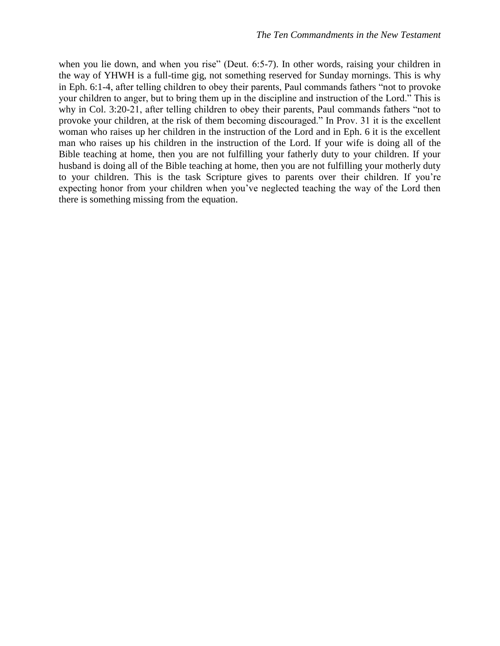when you lie down, and when you rise" (Deut. 6:5-7). In other words, raising your children in the way of YHWH is a full-time gig, not something reserved for Sunday mornings. This is why in Eph. 6:1-4, after telling children to obey their parents, Paul commands fathers "not to provoke your children to anger, but to bring them up in the discipline and instruction of the Lord." This is why in Col. 3:20-21, after telling children to obey their parents, Paul commands fathers "not to provoke your children, at the risk of them becoming discouraged." In Prov. 31 it is the excellent woman who raises up her children in the instruction of the Lord and in Eph. 6 it is the excellent man who raises up his children in the instruction of the Lord. If your wife is doing all of the Bible teaching at home, then you are not fulfilling your fatherly duty to your children. If your husband is doing all of the Bible teaching at home, then you are not fulfilling your motherly duty to your children. This is the task Scripture gives to parents over their children. If you're expecting honor from your children when you've neglected teaching the way of the Lord then there is something missing from the equation.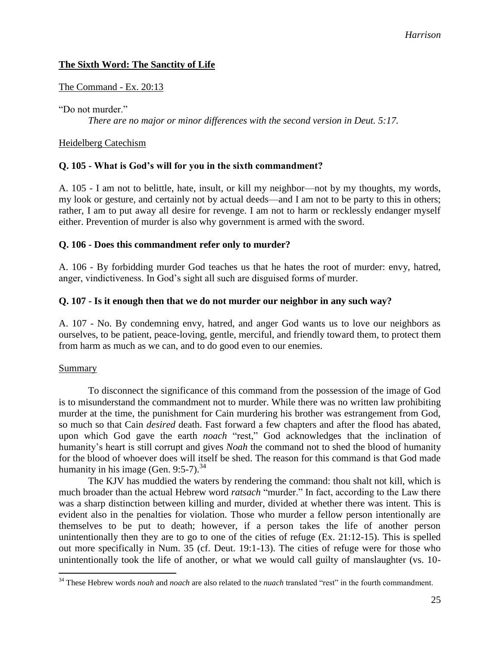# **The Sixth Word: The Sanctity of Life**

### The Command - Ex. 20:13

"Do not murder"

*There are no major or minor differences with the second version in Deut. 5:17.*

### Heidelberg Catechism

### **Q. 105 - What is God's will for you in the sixth commandment?**

A. 105 - I am not to belittle, hate, insult, or kill my neighbor—not by my thoughts, my words, my look or gesture, and certainly not by actual deeds—and I am not to be party to this in others; rather, I am to put away all desire for revenge. I am not to harm or recklessly endanger myself either. Prevention of murder is also why government is armed with the sword.

### **Q. 106 - Does this commandment refer only to murder?**

A. 106 - By forbidding murder God teaches us that he hates the root of murder: envy, hatred, anger, vindictiveness. In God's sight all such are disguised forms of murder.

### **Q. 107 - Is it enough then that we do not murder our neighbor in any such way?**

A. 107 - No. By condemning envy, hatred, and anger God wants us to love our neighbors as ourselves, to be patient, peace-loving, gentle, merciful, and friendly toward them, to protect them from harm as much as we can, and to do good even to our enemies.

### Summary

 $\overline{a}$ 

To disconnect the significance of this command from the possession of the image of God is to misunderstand the commandment not to murder. While there was no written law prohibiting murder at the time, the punishment for Cain murdering his brother was estrangement from God, so much so that Cain *desired* death. Fast forward a few chapters and after the flood has abated, upon which God gave the earth *noach* "rest," God acknowledges that the inclination of humanity's heart is still corrupt and gives *Noah* the command not to shed the blood of humanity for the blood of whoever does will itself be shed. The reason for this command is that God made humanity in his image (Gen. 9:5-7). $^{34}$ 

The KJV has muddied the waters by rendering the command: thou shalt not kill, which is much broader than the actual Hebrew word *ratsach* "murder." In fact, according to the Law there was a sharp distinction between killing and murder, divided at whether there was intent. This is evident also in the penalties for violation. Those who murder a fellow person intentionally are themselves to be put to death; however, if a person takes the life of another person unintentionally then they are to go to one of the cities of refuge (Ex. 21:12-15). This is spelled out more specifically in Num. 35 (cf. Deut. 19:1-13). The cities of refuge were for those who unintentionally took the life of another, or what we would call guilty of manslaughter (vs. 10-

<sup>34</sup> These Hebrew words *noah* and *noach* are also related to the *nuach* translated "rest" in the fourth commandment.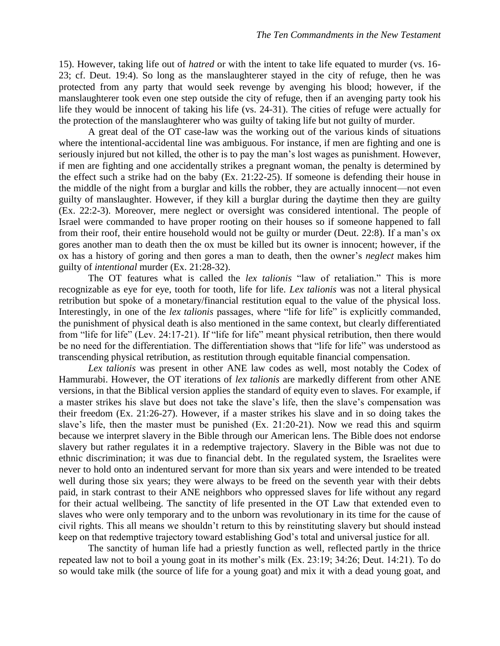15). However, taking life out of *hatred* or with the intent to take life equated to murder (vs. 16- 23; cf. Deut. 19:4). So long as the manslaughterer stayed in the city of refuge, then he was protected from any party that would seek revenge by avenging his blood; however, if the manslaughterer took even one step outside the city of refuge, then if an avenging party took his life they would be innocent of taking his life (vs. 24-31). The cities of refuge were actually for the protection of the manslaughterer who was guilty of taking life but not guilty of murder.

A great deal of the OT case-law was the working out of the various kinds of situations where the intentional-accidental line was ambiguous. For instance, if men are fighting and one is seriously injured but not killed, the other is to pay the man's lost wages as punishment. However, if men are fighting and one accidentally strikes a pregnant woman, the penalty is determined by the effect such a strike had on the baby (Ex. 21:22-25). If someone is defending their house in the middle of the night from a burglar and kills the robber, they are actually innocent—not even guilty of manslaughter. However, if they kill a burglar during the daytime then they are guilty (Ex. 22:2-3). Moreover, mere neglect or oversight was considered intentional. The people of Israel were commanded to have proper rooting on their houses so if someone happened to fall from their roof, their entire household would not be guilty or murder (Deut. 22:8). If a man's ox gores another man to death then the ox must be killed but its owner is innocent; however, if the ox has a history of goring and then gores a man to death, then the owner's *neglect* makes him guilty of *intentional* murder (Ex. 21:28-32).

The OT features what is called the *lex talionis* "law of retaliation." This is more recognizable as eye for eye, tooth for tooth, life for life. *Lex talionis* was not a literal physical retribution but spoke of a monetary/financial restitution equal to the value of the physical loss. Interestingly, in one of the *lex talionis* passages, where "life for life" is explicitly commanded, the punishment of physical death is also mentioned in the same context, but clearly differentiated from "life for life" (Lev. 24:17-21). If "life for life" meant physical retribution, then there would be no need for the differentiation. The differentiation shows that "life for life" was understood as transcending physical retribution, as restitution through equitable financial compensation.

*Lex talionis* was present in other ANE law codes as well, most notably the Codex of Hammurabi. However, the OT iterations of *lex talionis* are markedly different from other ANE versions, in that the Biblical version applies the standard of equity even to slaves. For example, if a master strikes his slave but does not take the slave's life, then the slave's compensation was their freedom (Ex. 21:26-27). However, if a master strikes his slave and in so doing takes the slave's life, then the master must be punished (Ex. 21:20-21). Now we read this and squirm because we interpret slavery in the Bible through our American lens. The Bible does not endorse slavery but rather regulates it in a redemptive trajectory. Slavery in the Bible was not due to ethnic discrimination; it was due to financial debt. In the regulated system, the Israelites were never to hold onto an indentured servant for more than six years and were intended to be treated well during those six years; they were always to be freed on the seventh year with their debts paid, in stark contrast to their ANE neighbors who oppressed slaves for life without any regard for their actual wellbeing. The sanctity of life presented in the OT Law that extended even to slaves who were only temporary and to the unborn was revolutionary in its time for the cause of civil rights. This all means we shouldn't return to this by reinstituting slavery but should instead keep on that redemptive trajectory toward establishing God's total and universal justice for all.

The sanctity of human life had a priestly function as well, reflected partly in the thrice repeated law not to boil a young goat in its mother's milk (Ex. 23:19; 34:26; Deut. 14:21). To do so would take milk (the source of life for a young goat) and mix it with a dead young goat, and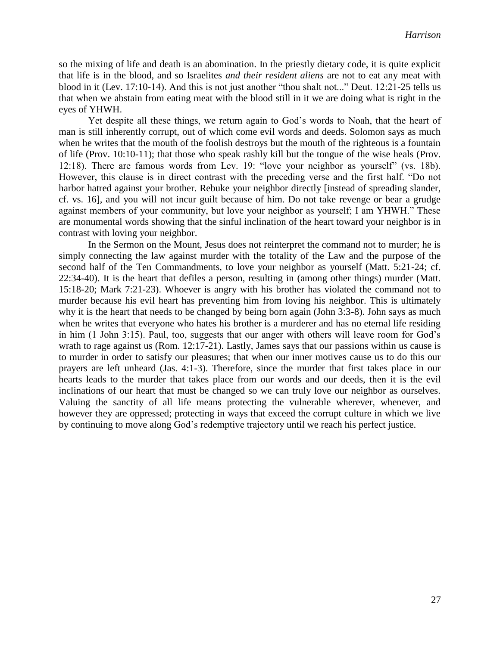so the mixing of life and death is an abomination. In the priestly dietary code, it is quite explicit that life is in the blood, and so Israelites *and their resident aliens* are not to eat any meat with blood in it (Lev. 17:10-14). And this is not just another "thou shalt not..." Deut. 12:21-25 tells us that when we abstain from eating meat with the blood still in it we are doing what is right in the eyes of YHWH.

Yet despite all these things, we return again to God's words to Noah, that the heart of man is still inherently corrupt, out of which come evil words and deeds. Solomon says as much when he writes that the mouth of the foolish destroys but the mouth of the righteous is a fountain of life (Prov. 10:10-11); that those who speak rashly kill but the tongue of the wise heals (Prov. 12:18). There are famous words from Lev. 19: "love your neighbor as yourself" (vs. 18b). However, this clause is in direct contrast with the preceding verse and the first half. "Do not harbor hatred against your brother. Rebuke your neighbor directly [instead of spreading slander, cf. vs. 16], and you will not incur guilt because of him. Do not take revenge or bear a grudge against members of your community, but love your neighbor as yourself; I am YHWH." These are monumental words showing that the sinful inclination of the heart toward your neighbor is in contrast with loving your neighbor.

In the Sermon on the Mount, Jesus does not reinterpret the command not to murder; he is simply connecting the law against murder with the totality of the Law and the purpose of the second half of the Ten Commandments, to love your neighbor as yourself (Matt. 5:21-24; cf. 22:34-40). It is the heart that defiles a person, resulting in (among other things) murder (Matt. 15:18-20; Mark 7:21-23). Whoever is angry with his brother has violated the command not to murder because his evil heart has preventing him from loving his neighbor. This is ultimately why it is the heart that needs to be changed by being born again (John 3:3-8). John says as much when he writes that everyone who hates his brother is a murderer and has no eternal life residing in him (1 John 3:15). Paul, too, suggests that our anger with others will leave room for God's wrath to rage against us (Rom. 12:17-21). Lastly, James says that our passions within us cause is to murder in order to satisfy our pleasures; that when our inner motives cause us to do this our prayers are left unheard (Jas. 4:1-3). Therefore, since the murder that first takes place in our hearts leads to the murder that takes place from our words and our deeds, then it is the evil inclinations of our heart that must be changed so we can truly love our neighbor as ourselves. Valuing the sanctity of all life means protecting the vulnerable wherever, whenever, and however they are oppressed; protecting in ways that exceed the corrupt culture in which we live by continuing to move along God's redemptive trajectory until we reach his perfect justice.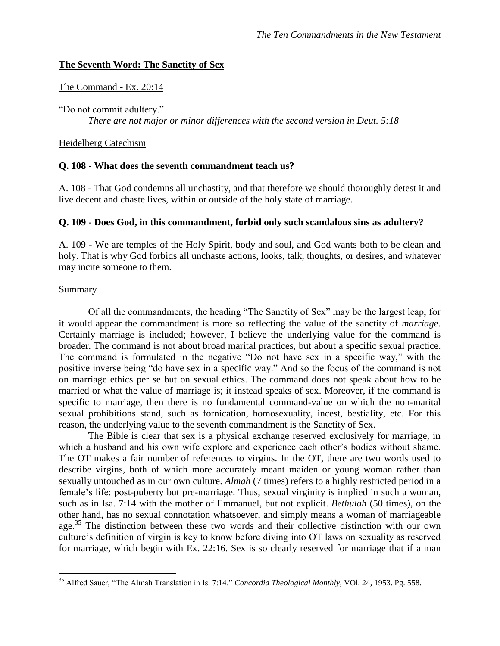### **The Seventh Word: The Sanctity of Sex**

#### The Command - Ex. 20:14

"Do not commit adultery." *There are not major or minor differences with the second version in Deut. 5:18*

#### Heidelberg Catechism

#### **Q. 108 - What does the seventh commandment teach us?**

A. 108 - That God condemns all unchastity, and that therefore we should thoroughly detest it and live decent and chaste lives, within or outside of the holy state of marriage.

### **Q. 109 - Does God, in this commandment, forbid only such scandalous sins as adultery?**

A. 109 - We are temples of the Holy Spirit, body and soul, and God wants both to be clean and holy. That is why God forbids all unchaste actions, looks, talk, thoughts, or desires, and whatever may incite someone to them.

#### Summary

 $\overline{a}$ 

Of all the commandments, the heading "The Sanctity of Sex" may be the largest leap, for it would appear the commandment is more so reflecting the value of the sanctity of *marriage*. Certainly marriage is included; however, I believe the underlying value for the command is broader. The command is not about broad marital practices, but about a specific sexual practice. The command is formulated in the negative "Do not have sex in a specific way," with the positive inverse being "do have sex in a specific way." And so the focus of the command is not on marriage ethics per se but on sexual ethics. The command does not speak about how to be married or what the value of marriage is; it instead speaks of sex. Moreover, if the command is specific to marriage, then there is no fundamental command-value on which the non-marital sexual prohibitions stand, such as fornication, homosexuality, incest, bestiality, etc. For this reason, the underlying value to the seventh commandment is the Sanctity of Sex.

The Bible is clear that sex is a physical exchange reserved exclusively for marriage, in which a husband and his own wife explore and experience each other's bodies without shame. The OT makes a fair number of references to virgins. In the OT, there are two words used to describe virgins, both of which more accurately meant maiden or young woman rather than sexually untouched as in our own culture. *Almah* (7 times) refers to a highly restricted period in a female's life: post-puberty but pre-marriage. Thus, sexual virginity is implied in such a woman, such as in Isa. 7:14 with the mother of Emmanuel, but not explicit. *Bethulah* (50 times), on the other hand, has no sexual connotation whatsoever, and simply means a woman of marriageable age.<sup>35</sup> The distinction between these two words and their collective distinction with our own culture's definition of virgin is key to know before diving into OT laws on sexuality as reserved for marriage, which begin with Ex. 22:16. Sex is so clearly reserved for marriage that if a man

<sup>35</sup> Alfred Sauer, "The Almah Translation in Is. 7:14." *Concordia Theological Monthly*, VOl. 24, 1953. Pg. 558.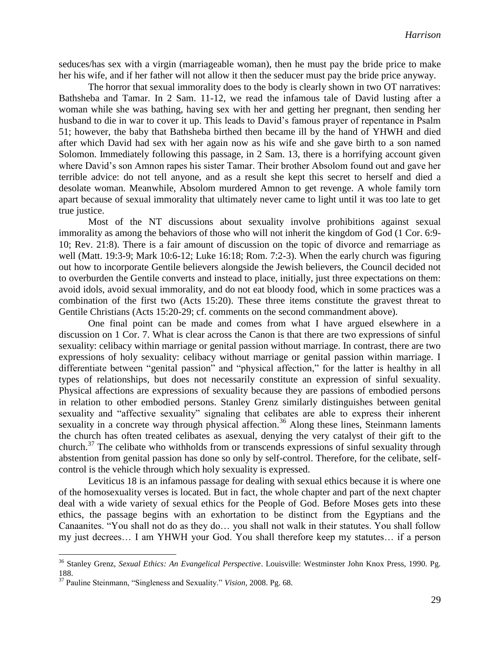seduces/has sex with a virgin (marriageable woman), then he must pay the bride price to make her his wife, and if her father will not allow it then the seducer must pay the bride price anyway.

The horror that sexual immorality does to the body is clearly shown in two OT narratives: Bathsheba and Tamar. In 2 Sam. 11-12, we read the infamous tale of David lusting after a woman while she was bathing, having sex with her and getting her pregnant, then sending her husband to die in war to cover it up. This leads to David's famous prayer of repentance in Psalm 51; however, the baby that Bathsheba birthed then became ill by the hand of YHWH and died after which David had sex with her again now as his wife and she gave birth to a son named Solomon. Immediately following this passage, in 2 Sam. 13, there is a horrifying account given where David's son Amnon rapes his sister Tamar. Their brother Absolom found out and gave her terrible advice: do not tell anyone, and as a result she kept this secret to herself and died a desolate woman. Meanwhile, Absolom murdered Amnon to get revenge. A whole family torn apart because of sexual immorality that ultimately never came to light until it was too late to get true justice.

Most of the NT discussions about sexuality involve prohibitions against sexual immorality as among the behaviors of those who will not inherit the kingdom of God (1 Cor. 6:9- 10; Rev. 21:8). There is a fair amount of discussion on the topic of divorce and remarriage as well (Matt. 19:3-9; Mark 10:6-12; Luke 16:18; Rom. 7:2-3). When the early church was figuring out how to incorporate Gentile believers alongside the Jewish believers, the Council decided not to overburden the Gentile converts and instead to place, initially, just three expectations on them: avoid idols, avoid sexual immorality, and do not eat bloody food, which in some practices was a combination of the first two (Acts 15:20). These three items constitute the gravest threat to Gentile Christians (Acts 15:20-29; cf. comments on the second commandment above).

One final point can be made and comes from what I have argued elsewhere in a discussion on 1 Cor. 7. What is clear across the Canon is that there are two expressions of sinful sexuality: celibacy within marriage or genital passion without marriage. In contrast, there are two expressions of holy sexuality: celibacy without marriage or genital passion within marriage. I differentiate between "genital passion" and "physical affection," for the latter is healthy in all types of relationships, but does not necessarily constitute an expression of sinful sexuality. Physical affections are expressions of sexuality because they are passions of embodied persons in relation to other embodied persons. Stanley Grenz similarly distinguishes between genital sexuality and "affective sexuality" signaling that celibates are able to express their inherent sexuality in a concrete way through physical affection.<sup>36</sup> Along these lines, Steinmann laments the church has often treated celibates as asexual, denying the very catalyst of their gift to the church.<sup>37</sup> The celibate who withholds from or transcends expressions of sinful sexuality through abstention from genital passion has done so only by self-control. Therefore, for the celibate, selfcontrol is the vehicle through which holy sexuality is expressed.

Leviticus 18 is an infamous passage for dealing with sexual ethics because it is where one of the homosexuality verses is located. But in fact, the whole chapter and part of the next chapter deal with a wide variety of sexual ethics for the People of God. Before Moses gets into these ethics, the passage begins with an exhortation to be distinct from the Egyptians and the Canaanites. "You shall not do as they do… you shall not walk in their statutes. You shall follow my just decrees… I am YHWH your God. You shall therefore keep my statutes… if a person

<sup>36</sup> Stanley Grenz, *Sexual Ethics: An Evangelical Perspective*. Louisville: Westminster John Knox Press, 1990. Pg. 188.

<sup>37</sup> Pauline Steinmann, "Singleness and Sexuality." *Vision*, 2008. Pg. 68.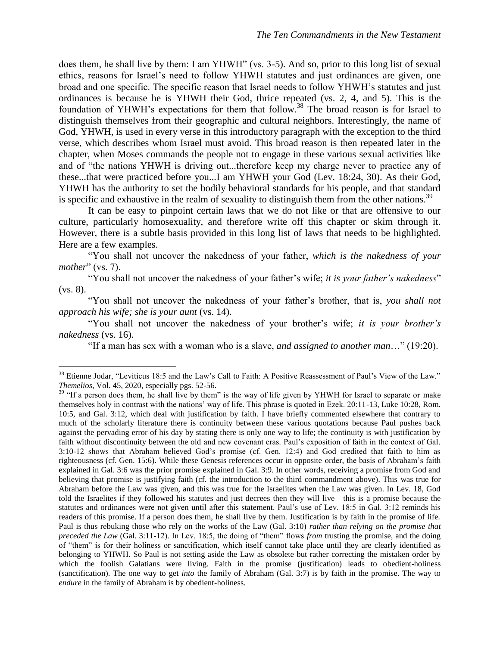does them, he shall live by them: I am YHWH" (vs. 3-5). And so, prior to this long list of sexual ethics, reasons for Israel's need to follow YHWH statutes and just ordinances are given, one broad and one specific. The specific reason that Israel needs to follow YHWH's statutes and just ordinances is because he is YHWH their God, thrice repeated (vs. 2, 4, and 5). This is the foundation of YHWH's expectations for them that follow.<sup>38</sup> The broad reason is for Israel to distinguish themselves from their geographic and cultural neighbors. Interestingly, the name of God, YHWH, is used in every verse in this introductory paragraph with the exception to the third verse, which describes whom Israel must avoid. This broad reason is then repeated later in the chapter, when Moses commands the people not to engage in these various sexual activities like and of "the nations YHWH is driving out...therefore keep my charge never to practice any of these...that were practiced before you...I am YHWH your God (Lev. 18:24, 30). As their God, YHWH has the authority to set the bodily behavioral standards for his people, and that standard is specific and exhaustive in the realm of sexuality to distinguish them from the other nations.<sup>39</sup>

It can be easy to pinpoint certain laws that we do not like or that are offensive to our culture, particularly homosexuality, and therefore write off this chapter or skim through it. However, there is a subtle basis provided in this long list of laws that needs to be highlighted. Here are a few examples.

"You shall not uncover the nakedness of your father, *which is the nakedness of your mother*" (vs. 7).

"You shall not uncover the nakedness of your father's wife; *it is your father's nakedness*" (vs. 8).

"You shall not uncover the nakedness of your father's brother, that is, *you shall not approach his wife; she is your aunt* (vs. 14).

"You shall not uncover the nakedness of your brother's wife; *it is your brother's nakedness* (vs. 16).

"If a man has sex with a woman who is a slave, *and assigned to another man*…" (19:20).

<sup>&</sup>lt;sup>38</sup> Etienne Jodar, "Leviticus 18:5 and the Law's Call to Faith: A Positive Reassessment of Paul's View of the Law." *Themelios*, Vol. 45, 2020, especially pgs. 52-56.

<sup>&</sup>lt;sup>39</sup> "If a person does them, he shall live by them" is the way of life given by YHWH for Israel to separate or make themselves holy in contrast with the nations' way of life. This phrase is quoted in Ezek. 20:11-13, Luke 10:28, Rom. 10:5, and Gal. 3:12, which deal with justification by faith. I have briefly commented elsewhere that contrary to much of the scholarly literature there is continuity between these various quotations because Paul pushes back against the pervading error of his day by stating there is only one way to life; the continuity is with justification by faith without discontinuity between the old and new covenant eras. Paul's exposition of faith in the context of Gal. 3:10-12 shows that Abraham believed God's promise (cf. Gen. 12:4) and God credited that faith to him as righteousness (cf. Gen. 15:6). While these Genesis references occur in opposite order, the basis of Abraham's faith explained in Gal. 3:6 was the prior promise explained in Gal. 3:9. In other words, receiving a promise from God and believing that promise is justifying faith (cf. the introduction to the third commandment above). This was true for Abraham before the Law was given, and this was true for the Israelites when the Law was given. In Lev. 18, God told the Israelites if they followed his statutes and just decrees then they will live—this is a promise because the statutes and ordinances were not given until after this statement. Paul's use of Lev. 18:5 in Gal. 3:12 reminds his readers of this promise. If a person does them, he shall live by them. Justification is by faith in the promise of life. Paul is thus rebuking those who rely on the works of the Law (Gal. 3:10) *rather than relying on the promise that preceded the Law* (Gal. 3:11-12). In Lev. 18:5, the doing of "them" flows *from* trusting the promise, and the doing of "them" is for their holiness or sanctification, which itself cannot take place until they are clearly identified as belonging to YHWH. So Paul is not setting aside the Law as obsolete but rather correcting the mistaken order by which the foolish Galatians were living. Faith in the promise (justification) leads to obedient-holiness (sanctification). The one way to get *into* the family of Abraham (Gal. 3:7) is by faith in the promise. The way to *endure* in the family of Abraham is by obedient-holiness.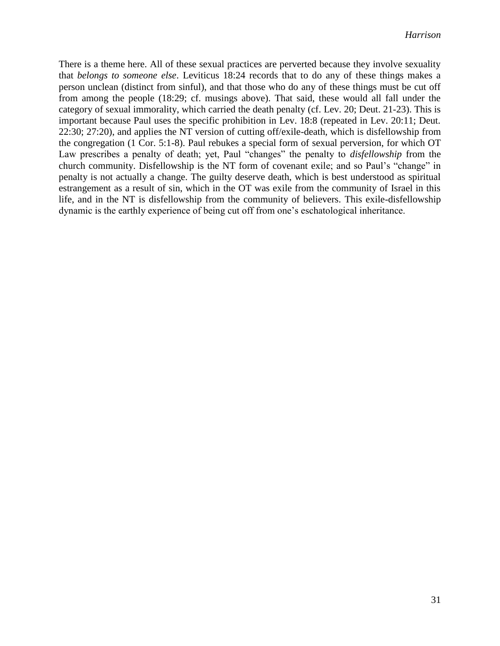There is a theme here. All of these sexual practices are perverted because they involve sexuality that *belongs to someone else*. Leviticus 18:24 records that to do any of these things makes a person unclean (distinct from sinful), and that those who do any of these things must be cut off from among the people (18:29; cf. musings above). That said, these would all fall under the category of sexual immorality, which carried the death penalty (cf. Lev. 20; Deut. 21-23). This is important because Paul uses the specific prohibition in Lev. 18:8 (repeated in Lev. 20:11; Deut. 22:30; 27:20), and applies the NT version of cutting off/exile-death, which is disfellowship from the congregation (1 Cor. 5:1-8). Paul rebukes a special form of sexual perversion, for which OT Law prescribes a penalty of death; yet, Paul "changes" the penalty to *disfellowship* from the church community. Disfellowship is the NT form of covenant exile; and so Paul's "change" in penalty is not actually a change. The guilty deserve death, which is best understood as spiritual estrangement as a result of sin, which in the OT was exile from the community of Israel in this life, and in the NT is disfellowship from the community of believers. This exile-disfellowship dynamic is the earthly experience of being cut off from one's eschatological inheritance.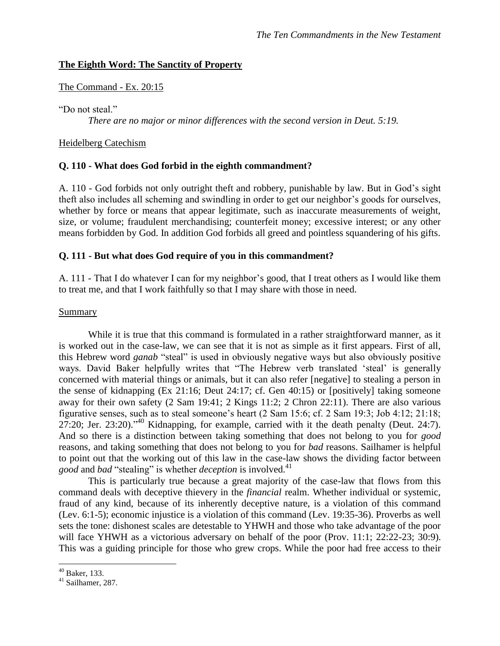# **The Eighth Word: The Sanctity of Property**

### The Command - Ex. 20:15

"Do not steal"

*There are no major or minor differences with the second version in Deut. 5:19.*

### Heidelberg Catechism

# **Q. 110 - What does God forbid in the eighth commandment?**

A. 110 - God forbids not only outright theft and robbery, punishable by law. But in God's sight theft also includes all scheming and swindling in order to get our neighbor's goods for ourselves, whether by force or means that appear legitimate, such as inaccurate measurements of weight, size, or volume; fraudulent merchandising; counterfeit money; excessive interest; or any other means forbidden by God. In addition God forbids all greed and pointless squandering of his gifts.

### **Q. 111 - But what does God require of you in this commandment?**

A. 111 - That I do whatever I can for my neighbor's good, that I treat others as I would like them to treat me, and that I work faithfully so that I may share with those in need.

### Summary

While it is true that this command is formulated in a rather straightforward manner, as it is worked out in the case-law, we can see that it is not as simple as it first appears. First of all, this Hebrew word *ganab* "steal" is used in obviously negative ways but also obviously positive ways. David Baker helpfully writes that "The Hebrew verb translated 'steal' is generally concerned with material things or animals, but it can also refer [negative] to stealing a person in the sense of kidnapping (Ex 21:16; Deut 24:17; cf. Gen 40:15) or [positively] taking someone away for their own safety (2 Sam 19:41; 2 Kings 11:2; 2 Chron 22:11). There are also various figurative senses, such as to steal someone's heart (2 Sam 15:6; cf. 2 Sam 19:3; Job 4:12; 21:18;  $27:20$ ; Jer. 23:20)."<sup>40</sup> Kidnapping, for example, carried with it the death penalty (Deut. 24:7). And so there is a distinction between taking something that does not belong to you for *good* reasons, and taking something that does not belong to you for *bad* reasons. Sailhamer is helpful to point out that the working out of this law in the case-law shows the dividing factor between *good* and *bad* "stealing" is whether *deception* is involved. 41

This is particularly true because a great majority of the case-law that flows from this command deals with deceptive thievery in the *financial* realm. Whether individual or systemic, fraud of any kind, because of its inherently deceptive nature, is a violation of this command (Lev. 6:1-5); economic injustice is a violation of this command (Lev. 19:35-36). Proverbs as well sets the tone: dishonest scales are detestable to YHWH and those who take advantage of the poor will face YHWH as a victorious adversary on behalf of the poor (Prov. 11:1; 22:22-23; 30:9). This was a guiding principle for those who grew crops. While the poor had free access to their

 $40$  Baker, 133.

<sup>41</sup> Sailhamer, 287.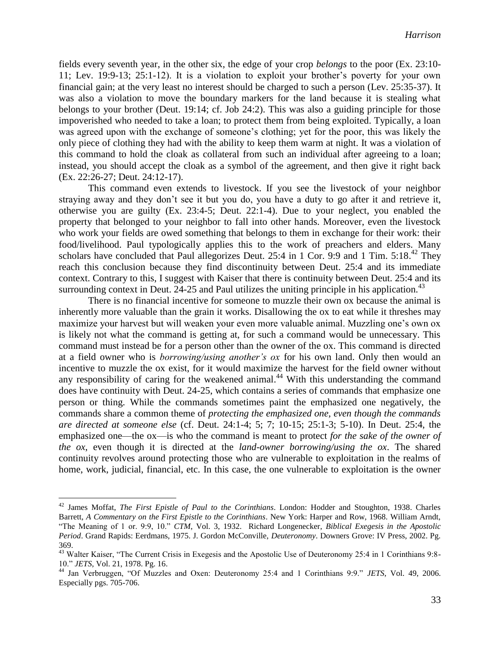fields every seventh year, in the other six, the edge of your crop *belongs* to the poor (Ex. 23:10- 11; Lev. 19:9-13; 25:1-12). It is a violation to exploit your brother's poverty for your own financial gain; at the very least no interest should be charged to such a person (Lev. 25:35-37). It was also a violation to move the boundary markers for the land because it is stealing what belongs to your brother (Deut. 19:14; cf. Job 24:2). This was also a guiding principle for those impoverished who needed to take a loan; to protect them from being exploited. Typically, a loan was agreed upon with the exchange of someone's clothing; yet for the poor, this was likely the only piece of clothing they had with the ability to keep them warm at night. It was a violation of this command to hold the cloak as collateral from such an individual after agreeing to a loan; instead, you should accept the cloak as a symbol of the agreement, and then give it right back (Ex. 22:26-27; Deut. 24:12-17).

This command even extends to livestock. If you see the livestock of your neighbor straying away and they don't see it but you do, you have a duty to go after it and retrieve it, otherwise you are guilty (Ex. 23:4-5; Deut. 22:1-4). Due to your neglect, you enabled the property that belonged to your neighbor to fall into other hands. Moreover, even the livestock who work your fields are owed something that belongs to them in exchange for their work: their food/livelihood. Paul typologically applies this to the work of preachers and elders. Many scholars have concluded that Paul allegorizes Deut. 25:4 in 1 Cor. 9:9 and 1 Tim. 5:18.<sup>42</sup> They reach this conclusion because they find discontinuity between Deut. 25:4 and its immediate context. Contrary to this, I suggest with Kaiser that there is continuity between Deut. 25:4 and its surrounding context in Deut. 24-25 and Paul utilizes the uniting principle in his application.<sup>43</sup>

There is no financial incentive for someone to muzzle their own ox because the animal is inherently more valuable than the grain it works. Disallowing the ox to eat while it threshes may maximize your harvest but will weaken your even more valuable animal. Muzzling one's own ox is likely not what the command is getting at, for such a command would be unnecessary. This command must instead be for a person other than the owner of the ox. This command is directed at a field owner who is *borrowing/using another's ox* for his own land. Only then would an incentive to muzzle the ox exist, for it would maximize the harvest for the field owner without any responsibility of caring for the weakened animal.<sup>44</sup> With this understanding the command does have continuity with Deut. 24-25, which contains a series of commands that emphasize one person or thing. While the commands sometimes paint the emphasized one negatively, the commands share a common theme of *protecting the emphasized one, even though the commands are directed at someone else* (cf. Deut. 24:1-4; 5; 7; 10-15; 25:1-3; 5-10). In Deut. 25:4, the emphasized one—the ox—is who the command is meant to protect *for the sake of the owner of the ox*, even though it is directed at the *land-owner borrowing/using the ox*. The shared continuity revolves around protecting those who are vulnerable to exploitation in the realms of home, work, judicial, financial, etc. In this case, the one vulnerable to exploitation is the owner

<sup>42</sup> James Moffat, *The First Epistle of Paul to the Corinthians*. London: Hodder and Stoughton, 1938. Charles Barrett, *A Commentary on the First Epistle to the Corinthians*. New York: Harper and Row, 1968. William Arndt, "The Meaning of 1 or. 9:9, 10." *CTM*, Vol. 3, 1932. Richard Longenecker, *Biblical Exegesis in the Apostolic Period*. Grand Rapids: Eerdmans, 1975. J. Gordon McConville, *Deuteronomy*. Downers Grove: IV Press, 2002. Pg. 369.

<sup>&</sup>lt;sup>43</sup> Walter Kaiser, "The Current Crisis in Exegesis and the Apostolic Use of Deuteronomy 25:4 in 1 Corinthians 9:8-10." *JETS*, Vol. 21, 1978. Pg. 16.

<sup>44</sup> Jan Verbruggen, "Of Muzzles and Oxen: Deuteronomy 25:4 and 1 Corinthians 9:9." *JETS*, Vol. 49, 2006. Especially pgs. 705-706.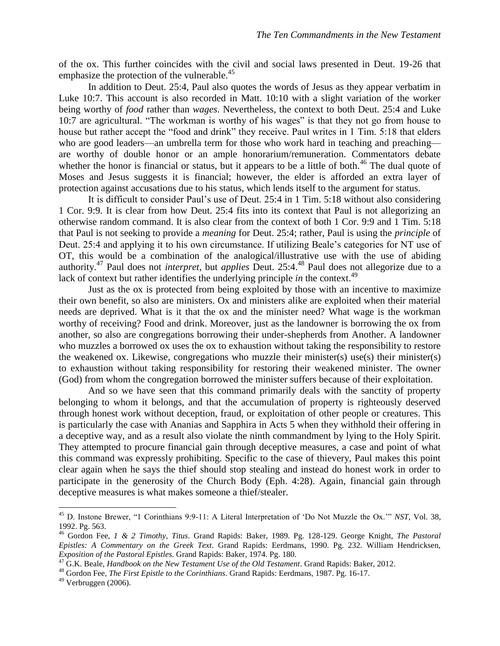of the ox. This further coincides with the civil and social laws presented in Deut. 19-26 that emphasize the protection of the vulnerable.<sup>45</sup>

In addition to Deut. 25:4, Paul also quotes the words of Jesus as they appear verbatim in Luke 10:7. This account is also recorded in Matt. 10:10 with a slight variation of the worker being worthy of *food* rather than *wages*. Nevertheless, the context to both Deut. 25:4 and Luke 10:7 are agricultural. "The workman is worthy of his wages" is that they not go from house to house but rather accept the "food and drink" they receive. Paul writes in 1 Tim. 5:18 that elders who are good leaders—an umbrella term for those who work hard in teaching and preaching are worthy of double honor or an ample honorarium/remuneration. Commentators debate whether the honor is financial or status, but it appears to be a little of both.<sup>46</sup> The dual quote of Moses and Jesus suggests it is financial; however, the elder is afforded an extra layer of protection against accusations due to his status, which lends itself to the argument for status.

It is difficult to consider Paul's use of Deut. 25:4 in 1 Tim. 5:18 without also considering 1 Cor. 9:9. It is clear from how Deut. 25:4 fits into its context that Paul is not allegorizing an otherwise random command. It is also clear from the context of both 1 Cor. 9:9 and 1 Tim. 5:18 that Paul is not seeking to provide a *meaning* for Deut. 25:4; rather, Paul is using the *principle* of Deut. 25:4 and applying it to his own circumstance. If utilizing Beale's categories for NT use of OT, this would be a combination of the analogical/illustrative use with the use of abiding authority. <sup>47</sup> Paul does not *interpret*, but *applies* Deut. 25:4. <sup>48</sup> Paul does not allegorize due to a lack of context but rather identifies the underlying principle *in* the context.<sup>49</sup>

Just as the ox is protected from being exploited by those with an incentive to maximize their own benefit, so also are ministers. Ox and ministers alike are exploited when their material needs are deprived. What is it that the ox and the minister need? What wage is the workman worthy of receiving? Food and drink. Moreover, just as the landowner is borrowing the ox from another, so also are congregations borrowing their under-shepherds from Another. A landowner who muzzles a borrowed ox uses the ox to exhaustion without taking the responsibility to restore the weakened ox. Likewise, congregations who muzzle their minister(s) use(s) their minister(s) to exhaustion without taking responsibility for restoring their weakened minister. The owner (God) from whom the congregation borrowed the minister suffers because of their exploitation.

And so we have seen that this command primarily deals with the sanctity of property belonging to whom it belongs, and that the accumulation of property is righteously deserved through honest work without deception, fraud, or exploitation of other people or creatures. This is particularly the case with Ananias and Sapphira in Acts 5 when they withhold their offering in a deceptive way, and as a result also violate the ninth commandment by lying to the Holy Spirit. They attempted to procure financial gain through deceptive measures, a case and point of what this command was expressly prohibiting. Specific to the case of thievery, Paul makes this point clear again when he says the thief should stop stealing and instead do honest work in order to participate in the generosity of the Church Body (Eph. 4:28). Again, financial gain through deceptive measures is what makes someone a thief/stealer.

<sup>45</sup> D. Instone Brewer, "1 Corinthians 9:9-11: A Literal Interpretation of 'Do Not Muzzle the Ox.'" *NST*, Vol. 38, 1992. Pg. 563.

<sup>46</sup> Gordon Fee, *1 & 2 Timothy, Titus*. Grand Rapids: Baker, 1989. Pg. 128-129. George Knight, *The Pastoral Epistles: A Commentary on the Greek Text*. Grand Rapids: Eerdmans, 1990. Pg. 232. William Hendricksen, *Exposition of the Pastoral Epistles*. Grand Rapids: Baker, 1974. Pg. 180.

<sup>47</sup> G.K. Beale, *Handbook on the New Testament Use of the Old Testament*. Grand Rapids: Baker, 2012.

<sup>48</sup> Gordon Fee, *The First Epistle to the Corinthians*. Grand Rapids: Eerdmans, 1987. Pg. 16-17.

 $49$  Verbruggen (2006).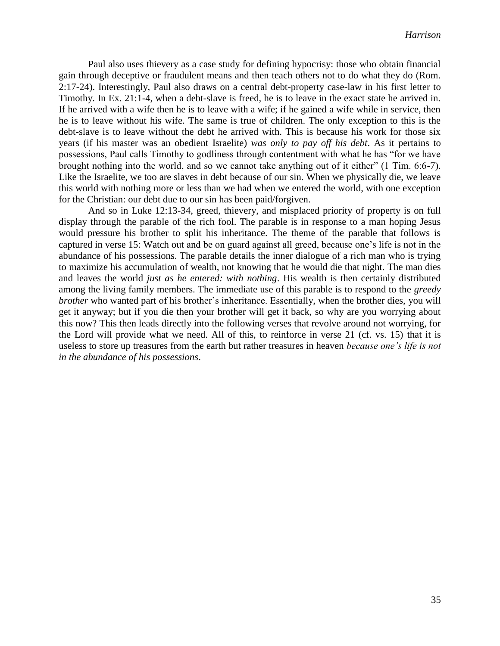Paul also uses thievery as a case study for defining hypocrisy: those who obtain financial gain through deceptive or fraudulent means and then teach others not to do what they do (Rom. 2:17-24). Interestingly, Paul also draws on a central debt-property case-law in his first letter to Timothy. In Ex. 21:1-4, when a debt-slave is freed, he is to leave in the exact state he arrived in. If he arrived with a wife then he is to leave with a wife; if he gained a wife while in service, then he is to leave without his wife. The same is true of children. The only exception to this is the debt-slave is to leave without the debt he arrived with. This is because his work for those six years (if his master was an obedient Israelite) *was only to pay off his debt*. As it pertains to possessions, Paul calls Timothy to godliness through contentment with what he has "for we have brought nothing into the world, and so we cannot take anything out of it either" (1 Tim. 6:6-7). Like the Israelite, we too are slaves in debt because of our sin. When we physically die, we leave this world with nothing more or less than we had when we entered the world, with one exception for the Christian: our debt due to our sin has been paid/forgiven.

And so in Luke 12:13-34, greed, thievery, and misplaced priority of property is on full display through the parable of the rich fool. The parable is in response to a man hoping Jesus would pressure his brother to split his inheritance. The theme of the parable that follows is captured in verse 15: Watch out and be on guard against all greed, because one's life is not in the abundance of his possessions. The parable details the inner dialogue of a rich man who is trying to maximize his accumulation of wealth, not knowing that he would die that night. The man dies and leaves the world *just as he entered: with nothing*. His wealth is then certainly distributed among the living family members. The immediate use of this parable is to respond to the *greedy brother* who wanted part of his brother's inheritance. Essentially, when the brother dies, you will get it anyway; but if you die then your brother will get it back, so why are you worrying about this now? This then leads directly into the following verses that revolve around not worrying, for the Lord will provide what we need. All of this, to reinforce in verse 21 (cf. vs. 15) that it is useless to store up treasures from the earth but rather treasures in heaven *because one's life is not in the abundance of his possessions*.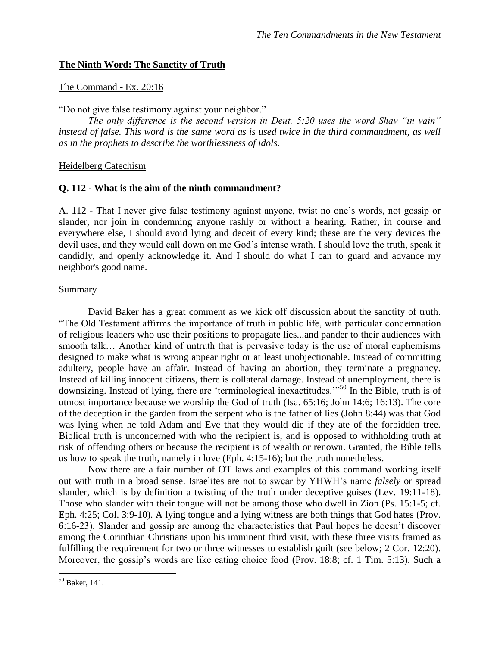### **The Ninth Word: The Sanctity of Truth**

#### The Command - Ex. 20:16

"Do not give false testimony against your neighbor."

*The only difference is the second version in Deut. 5:20 uses the word Shav "in vain" instead of false. This word is the same word as is used twice in the third commandment, as well as in the prophets to describe the worthlessness of idols.*

Heidelberg Catechism

#### **Q. 112 - What is the aim of the ninth commandment?**

A. 112 - That I never give false testimony against anyone, twist no one's words, not gossip or slander, nor join in condemning anyone rashly or without a hearing. Rather, in course and everywhere else, I should avoid lying and deceit of every kind; these are the very devices the devil uses, and they would call down on me God's intense wrath. I should love the truth, speak it candidly, and openly acknowledge it. And I should do what I can to guard and advance my neighbor's good name.

#### Summary

David Baker has a great comment as we kick off discussion about the sanctity of truth. "The Old Testament affirms the importance of truth in public life, with particular condemnation of religious leaders who use their positions to propagate lies...and pander to their audiences with smooth talk… Another kind of untruth that is pervasive today is the use of moral euphemisms designed to make what is wrong appear right or at least unobjectionable. Instead of committing adultery, people have an affair. Instead of having an abortion, they terminate a pregnancy. Instead of killing innocent citizens, there is collateral damage. Instead of unemployment, there is downsizing. Instead of lying, there are 'terminological inexactitudes.'"<sup>50</sup> In the Bible, truth is of utmost importance because we worship the God of truth (Isa. 65:16; John 14:6; 16:13). The core of the deception in the garden from the serpent who is the father of lies (John 8:44) was that God was lying when he told Adam and Eve that they would die if they ate of the forbidden tree. Biblical truth is unconcerned with who the recipient is, and is opposed to withholding truth at risk of offending others or because the recipient is of wealth or renown. Granted, the Bible tells us how to speak the truth, namely in love (Eph. 4:15-16); but the truth nonetheless.

Now there are a fair number of OT laws and examples of this command working itself out with truth in a broad sense. Israelites are not to swear by YHWH's name *falsely* or spread slander, which is by definition a twisting of the truth under deceptive guises (Lev. 19:11-18). Those who slander with their tongue will not be among those who dwell in Zion (Ps. 15:1-5; cf. Eph. 4:25; Col. 3:9-10). A lying tongue and a lying witness are both things that God hates (Prov. 6:16-23). Slander and gossip are among the characteristics that Paul hopes he doesn't discover among the Corinthian Christians upon his imminent third visit, with these three visits framed as fulfilling the requirement for two or three witnesses to establish guilt (see below; 2 Cor. 12:20). Moreover, the gossip's words are like eating choice food (Prov. 18:8; cf. 1 Tim. 5:13). Such a

<sup>50</sup> Baker, 141.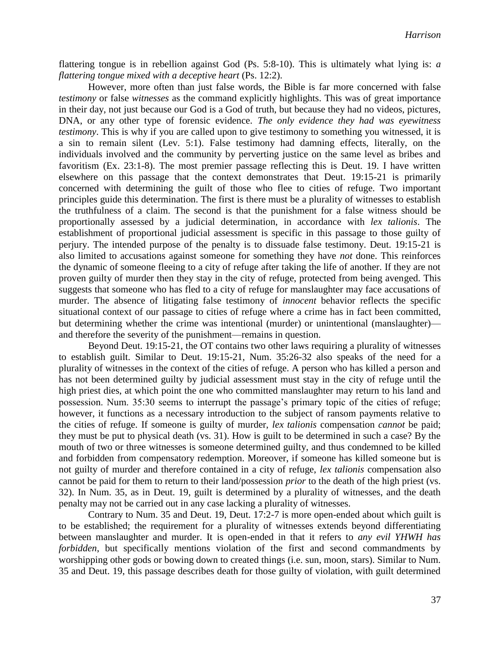flattering tongue is in rebellion against God (Ps. 5:8-10). This is ultimately what lying is: *a flattering tongue mixed with a deceptive heart* (Ps. 12:2).

However, more often than just false words, the Bible is far more concerned with false *testimony* or false *witnesses* as the command explicitly highlights. This was of great importance in their day, not just because our God is a God of truth, but because they had no videos, pictures, DNA, or any other type of forensic evidence. *The only evidence they had was eyewitness testimony*. This is why if you are called upon to give testimony to something you witnessed, it is a sin to remain silent (Lev. 5:1). False testimony had damning effects, literally, on the individuals involved and the community by perverting justice on the same level as bribes and favoritism (Ex. 23:1-8). The most premier passage reflecting this is Deut. 19. I have written elsewhere on this passage that the context demonstrates that Deut. 19:15-21 is primarily concerned with determining the guilt of those who flee to cities of refuge. Two important principles guide this determination. The first is there must be a plurality of witnesses to establish the truthfulness of a claim. The second is that the punishment for a false witness should be proportionally assessed by a judicial determination, in accordance with *lex talionis*. The establishment of proportional judicial assessment is specific in this passage to those guilty of perjury. The intended purpose of the penalty is to dissuade false testimony. Deut. 19:15-21 is also limited to accusations against someone for something they have *not* done. This reinforces the dynamic of someone fleeing to a city of refuge after taking the life of another. If they are not proven guilty of murder then they stay in the city of refuge, protected from being avenged. This suggests that someone who has fled to a city of refuge for manslaughter may face accusations of murder. The absence of litigating false testimony of *innocent* behavior reflects the specific situational context of our passage to cities of refuge where a crime has in fact been committed, but determining whether the crime was intentional (murder) or unintentional (manslaughter) and therefore the severity of the punishment—remains in question.

Beyond Deut. 19:15-21, the OT contains two other laws requiring a plurality of witnesses to establish guilt. Similar to Deut. 19:15-21, Num. 35:26-32 also speaks of the need for a plurality of witnesses in the context of the cities of refuge. A person who has killed a person and has not been determined guilty by judicial assessment must stay in the city of refuge until the high priest dies, at which point the one who committed manslaughter may return to his land and possession. Num. 35:30 seems to interrupt the passage's primary topic of the cities of refuge; however, it functions as a necessary introduction to the subject of ransom payments relative to the cities of refuge. If someone is guilty of murder, *lex talionis* compensation *cannot* be paid; they must be put to physical death (vs. 31). How is guilt to be determined in such a case? By the mouth of two or three witnesses is someone determined guilty, and thus condemned to be killed and forbidden from compensatory redemption. Moreover, if someone has killed someone but is not guilty of murder and therefore contained in a city of refuge, *lex talionis* compensation also cannot be paid for them to return to their land/possession *prior* to the death of the high priest (vs. 32). In Num. 35, as in Deut. 19, guilt is determined by a plurality of witnesses, and the death penalty may not be carried out in any case lacking a plurality of witnesses.

Contrary to Num. 35 and Deut. 19, Deut. 17:2-7 is more open-ended about which guilt is to be established; the requirement for a plurality of witnesses extends beyond differentiating between manslaughter and murder. It is open-ended in that it refers to *any evil YHWH has forbidden*, but specifically mentions violation of the first and second commandments by worshipping other gods or bowing down to created things (i.e. sun, moon, stars). Similar to Num. 35 and Deut. 19, this passage describes death for those guilty of violation, with guilt determined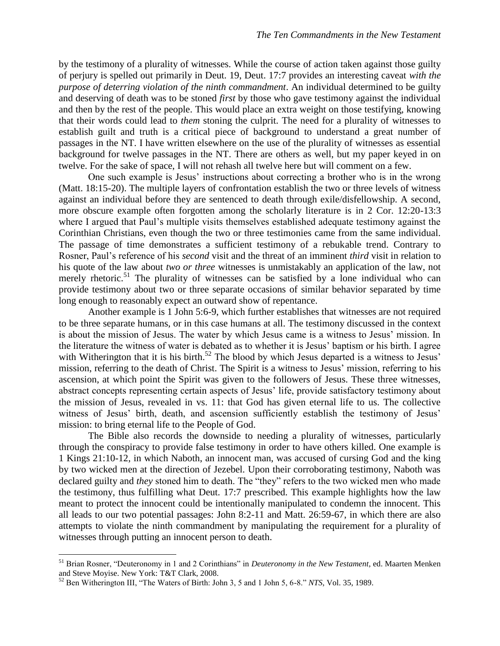by the testimony of a plurality of witnesses. While the course of action taken against those guilty of perjury is spelled out primarily in Deut. 19, Deut. 17:7 provides an interesting caveat *with the purpose of deterring violation of the ninth commandment*. An individual determined to be guilty and deserving of death was to be stoned *first* by those who gave testimony against the individual and then by the rest of the people. This would place an extra weight on those testifying, knowing that their words could lead to *them* stoning the culprit. The need for a plurality of witnesses to establish guilt and truth is a critical piece of background to understand a great number of passages in the NT. I have written elsewhere on the use of the plurality of witnesses as essential background for twelve passages in the NT. There are others as well, but my paper keyed in on twelve. For the sake of space, I will not rehash all twelve here but will comment on a few.

One such example is Jesus' instructions about correcting a brother who is in the wrong (Matt. 18:15-20). The multiple layers of confrontation establish the two or three levels of witness against an individual before they are sentenced to death through exile/disfellowship. A second, more obscure example often forgotten among the scholarly literature is in 2 Cor. 12:20-13:3 where I argued that Paul's multiple visits themselves established adequate testimony against the Corinthian Christians, even though the two or three testimonies came from the same individual. The passage of time demonstrates a sufficient testimony of a rebukable trend. Contrary to Rosner, Paul's reference of his *second* visit and the threat of an imminent *third* visit in relation to his quote of the law about *two or three* witnesses is unmistakably an application of the law, not merely rhetoric.<sup>51</sup> The plurality of witnesses can be satisfied by a lone individual who can provide testimony about two or three separate occasions of similar behavior separated by time long enough to reasonably expect an outward show of repentance.

Another example is 1 John 5:6-9, which further establishes that witnesses are not required to be three separate humans, or in this case humans at all. The testimony discussed in the context is about the mission of Jesus. The water by which Jesus came is a witness to Jesus' mission. In the literature the witness of water is debated as to whether it is Jesus' baptism or his birth. I agree with Witherington that it is his birth.<sup>52</sup> The blood by which Jesus departed is a witness to Jesus' mission, referring to the death of Christ. The Spirit is a witness to Jesus' mission, referring to his ascension, at which point the Spirit was given to the followers of Jesus. These three witnesses, abstract concepts representing certain aspects of Jesus' life, provide satisfactory testimony about the mission of Jesus, revealed in vs. 11: that God has given eternal life to us. The collective witness of Jesus' birth, death, and ascension sufficiently establish the testimony of Jesus' mission: to bring eternal life to the People of God.

The Bible also records the downside to needing a plurality of witnesses, particularly through the conspiracy to provide false testimony in order to have others killed. One example is 1 Kings 21:10-12, in which Naboth, an innocent man, was accused of cursing God and the king by two wicked men at the direction of Jezebel. Upon their corroborating testimony, Naboth was declared guilty and *they* stoned him to death. The "they" refers to the two wicked men who made the testimony, thus fulfilling what Deut. 17:7 prescribed. This example highlights how the law meant to protect the innocent could be intentionally manipulated to condemn the innocent. This all leads to our two potential passages: John 8:2-11 and Matt. 26:59-67, in which there are also attempts to violate the ninth commandment by manipulating the requirement for a plurality of witnesses through putting an innocent person to death.

<sup>51</sup> Brian Rosner, "Deuteronomy in 1 and 2 Corinthians" in *Deuteronomy in the New Testament*, ed. Maarten Menken and Steve Moyise. New York: T&T Clark, 2008.

<sup>52</sup> Ben Witherington III, "The Waters of Birth: John 3, 5 and 1 John 5, 6-8." *NTS*, Vol. 35, 1989.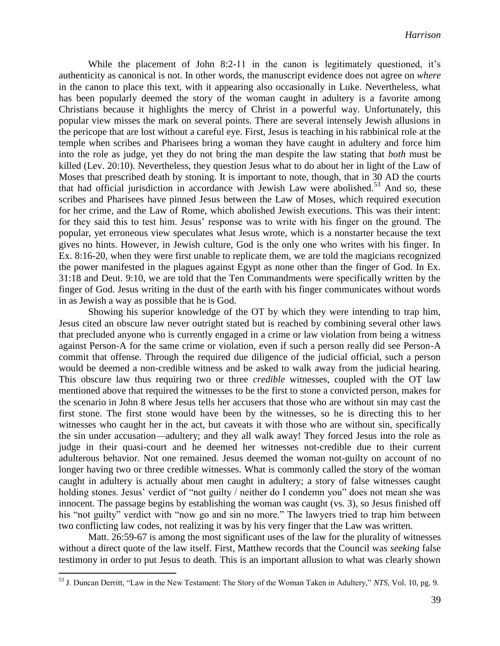While the placement of John 8:2-11 in the canon is legitimately questioned, it's authenticity as canonical is not. In other words, the manuscript evidence does not agree on *where* in the canon to place this text, with it appearing also occasionally in Luke. Nevertheless, what has been popularly deemed the story of the woman caught in adultery is a favorite among Christians because it highlights the mercy of Christ in a powerful way. Unfortunately, this popular view misses the mark on several points. There are several intensely Jewish allusions in the pericope that are lost without a careful eye. First, Jesus is teaching in his rabbinical role at the temple when scribes and Pharisees bring a woman they have caught in adultery and force him into the role as judge, yet they do not bring the man despite the law stating that *both* must be killed (Lev. 20:10). Nevertheless, they question Jesus what to do about her in light of the Law of Moses that prescribed death by stoning. It is important to note, though, that in 30 AD the courts that had official jurisdiction in accordance with Jewish Law were abolished. <sup>53</sup> And so, these scribes and Pharisees have pinned Jesus between the Law of Moses, which required execution for her crime, and the Law of Rome, which abolished Jewish executions. This was their intent: for they said this to test him. Jesus' response was to write with his finger on the ground. The popular, yet erroneous view speculates what Jesus wrote, which is a nonstarter because the text gives no hints. However, in Jewish culture, God is the only one who writes with his finger. In Ex. 8:16-20, when they were first unable to replicate them, we are told the magicians recognized the power manifested in the plagues against Egypt as none other than the finger of God. In Ex. 31:18 and Deut. 9:10, we are told that the Ten Commandments were specifically written by the finger of God. Jesus writing in the dust of the earth with his finger communicates without words in as Jewish a way as possible that he is God.

Showing his superior knowledge of the OT by which they were intending to trap him, Jesus cited an obscure law never outright stated but is reached by combining several other laws that precluded anyone who is currently engaged in a crime or law violation from being a witness against Person-A for the same crime or violation, even if such a person really did see Person-A commit that offense. Through the required due diligence of the judicial official, such a person would be deemed a non-credible witness and be asked to walk away from the judicial hearing. This obscure law thus requiring two or three *credible* witnesses, coupled with the OT law mentioned above that required the witnesses to be the first to stone a convicted person, makes for the scenario in John 8 where Jesus tells her accusers that those who are without sin may cast the first stone. The first stone would have been by the witnesses, so he is directing this to her witnesses who caught her in the act, but caveats it with those who are without sin, specifically the sin under accusation—adultery; and they all walk away! They forced Jesus into the role as judge in their quasi-court and he deemed her witnesses not-credible due to their current adulterous behavior. Not one remained. Jesus deemed the woman not-guilty on account of no longer having two or three credible witnesses. What is commonly called the story of the woman caught in adultery is actually about men caught in adultery; a story of false witnesses caught holding stones. Jesus' verdict of "not guilty / neither do I condemn you" does not mean she was innocent. The passage begins by establishing the woman was caught (vs. 3), so Jesus finished off his "not guilty" verdict with "now go and sin no more." The lawyers tried to trap him between two conflicting law codes, not realizing it was by his very finger that the Law was written.

Matt. 26:59-67 is among the most significant uses of the law for the plurality of witnesses without a direct quote of the law itself. First, Matthew records that the Council was *seeking* false testimony in order to put Jesus to death. This is an important allusion to what was clearly shown

<sup>53</sup> J. Duncan Derritt, "Law in the New Testament: The Story of the Woman Taken in Adultery," *NTS*, Vol. 10, pg. 9.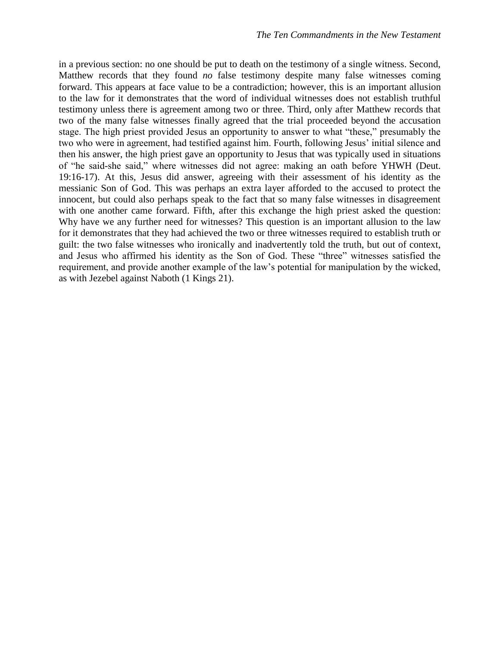in a previous section: no one should be put to death on the testimony of a single witness. Second, Matthew records that they found *no* false testimony despite many false witnesses coming forward. This appears at face value to be a contradiction; however, this is an important allusion to the law for it demonstrates that the word of individual witnesses does not establish truthful testimony unless there is agreement among two or three. Third, only after Matthew records that two of the many false witnesses finally agreed that the trial proceeded beyond the accusation stage. The high priest provided Jesus an opportunity to answer to what "these," presumably the two who were in agreement, had testified against him. Fourth, following Jesus' initial silence and then his answer, the high priest gave an opportunity to Jesus that was typically used in situations of "he said-she said," where witnesses did not agree: making an oath before YHWH (Deut. 19:16-17). At this, Jesus did answer, agreeing with their assessment of his identity as the messianic Son of God. This was perhaps an extra layer afforded to the accused to protect the innocent, but could also perhaps speak to the fact that so many false witnesses in disagreement with one another came forward. Fifth, after this exchange the high priest asked the question: Why have we any further need for witnesses? This question is an important allusion to the law for it demonstrates that they had achieved the two or three witnesses required to establish truth or guilt: the two false witnesses who ironically and inadvertently told the truth, but out of context, and Jesus who affirmed his identity as the Son of God. These "three" witnesses satisfied the requirement, and provide another example of the law's potential for manipulation by the wicked, as with Jezebel against Naboth (1 Kings 21).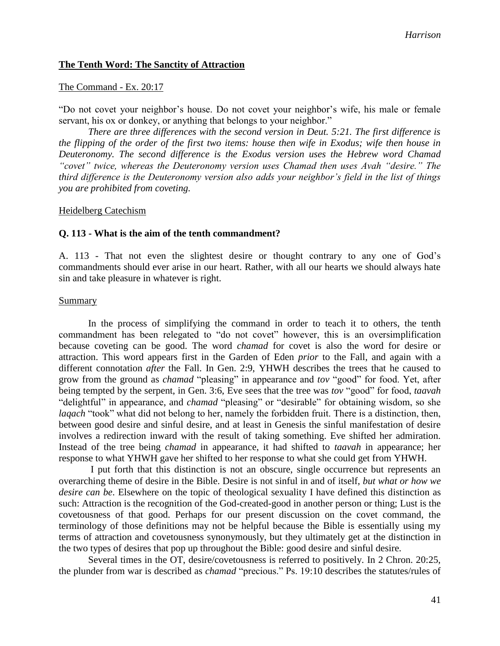#### **The Tenth Word: The Sanctity of Attraction**

#### The Command - Ex. 20:17

"Do not covet your neighbor's house. Do not covet your neighbor's wife, his male or female servant, his ox or donkey, or anything that belongs to your neighbor."

*There are three differences with the second version in Deut. 5:21. The first difference is the flipping of the order of the first two items: house then wife in Exodus; wife then house in Deuteronomy. The second difference is the Exodus version uses the Hebrew word Chamad "covet" twice, whereas the Deuteronomy version uses Chamad then uses Avah "desire." The third difference is the Deuteronomy version also adds your neighbor's field in the list of things you are prohibited from coveting.*

#### Heidelberg Catechism

#### **Q. 113 - What is the aim of the tenth commandment?**

A. 113 - That not even the slightest desire or thought contrary to any one of God's commandments should ever arise in our heart. Rather, with all our hearts we should always hate sin and take pleasure in whatever is right.

#### Summary

In the process of simplifying the command in order to teach it to others, the tenth commandment has been relegated to "do not covet" however, this is an oversimplification because coveting can be good. The word *chamad* for covet is also the word for desire or attraction. This word appears first in the Garden of Eden *prior* to the Fall, and again with a different connotation *after* the Fall. In Gen. 2:9, YHWH describes the trees that he caused to grow from the ground as *chamad* "pleasing" in appearance and *tov* "good" for food. Yet, after being tempted by the serpent, in Gen. 3:6, Eve sees that the tree was *tov* "good" for food, *taavah* "delightful" in appearance, and *chamad* "pleasing" or "desirable" for obtaining wisdom, so she *laqach* "took" what did not belong to her, namely the forbidden fruit. There is a distinction, then, between good desire and sinful desire, and at least in Genesis the sinful manifestation of desire involves a redirection inward with the result of taking something. Eve shifted her admiration. Instead of the tree being *chamad* in appearance, it had shifted to *taavah* in appearance; her response to what YHWH gave her shifted to her response to what she could get from YHWH.

I put forth that this distinction is not an obscure, single occurrence but represents an overarching theme of desire in the Bible. Desire is not sinful in and of itself, *but what or how we desire can be*. Elsewhere on the topic of theological sexuality I have defined this distinction as such: Attraction is the recognition of the God-created-good in another person or thing; Lust is the covetousness of that good. Perhaps for our present discussion on the covet command, the terminology of those definitions may not be helpful because the Bible is essentially using my terms of attraction and covetousness synonymously, but they ultimately get at the distinction in the two types of desires that pop up throughout the Bible: good desire and sinful desire.

Several times in the OT, desire/covetousness is referred to positively. In 2 Chron. 20:25, the plunder from war is described as *chamad* "precious." Ps. 19:10 describes the statutes/rules of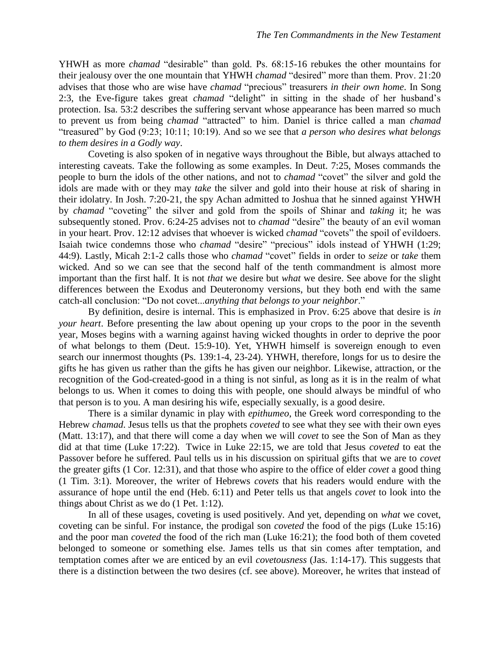YHWH as more *chamad* "desirable" than gold. Ps. 68:15-16 rebukes the other mountains for their jealousy over the one mountain that YHWH *chamad* "desired" more than them. Prov. 21:20 advises that those who are wise have *chamad* "precious" treasurers *in their own home*. In Song 2:3, the Eve-figure takes great *chamad* "delight" in sitting in the shade of her husband's protection. Isa. 53:2 describes the suffering servant whose appearance has been marred so much to prevent us from being *chamad* "attracted" to him. Daniel is thrice called a man *chamad* "treasured" by God (9:23; 10:11; 10:19). And so we see that *a person who desires what belongs to them desires in a Godly way*.

Coveting is also spoken of in negative ways throughout the Bible, but always attached to interesting caveats. Take the following as some examples. In Deut. 7:25, Moses commands the people to burn the idols of the other nations, and not to *chamad* "covet" the silver and gold the idols are made with or they may *take* the silver and gold into their house at risk of sharing in their idolatry. In Josh. 7:20-21, the spy Achan admitted to Joshua that he sinned against YHWH by *chamad* "coveting" the silver and gold from the spoils of Shinar and *taking* it; he was subsequently stoned. Prov. 6:24-25 advises not to *chamad* "desire" the beauty of an evil woman in your heart. Prov. 12:12 advises that whoever is wicked *chamad* "covets" the spoil of evildoers. Isaiah twice condemns those who *chamad* "desire" "precious" idols instead of YHWH (1:29; 44:9). Lastly, Micah 2:1-2 calls those who *chamad* "covet" fields in order to *seize* or *take* them wicked. And so we can see that the second half of the tenth commandment is almost more important than the first half. It is not *that* we desire but *what* we desire. See above for the slight differences between the Exodus and Deuteronomy versions, but they both end with the same catch-all conclusion: "Do not covet...*anything that belongs to your neighbor*."

By definition, desire is internal. This is emphasized in Prov. 6:25 above that desire is *in your heart*. Before presenting the law about opening up your crops to the poor in the seventh year, Moses begins with a warning against having wicked thoughts in order to deprive the poor of what belongs to them (Deut. 15:9-10). Yet, YHWH himself is sovereign enough to even search our innermost thoughts (Ps. 139:1-4, 23-24). YHWH, therefore, longs for us to desire the gifts he has given us rather than the gifts he has given our neighbor. Likewise, attraction, or the recognition of the God-created-good in a thing is not sinful, as long as it is in the realm of what belongs to us. When it comes to doing this with people, one should always be mindful of who that person is to you. A man desiring his wife, especially sexually, is a good desire.

There is a similar dynamic in play with *epithumeo*, the Greek word corresponding to the Hebrew *chamad*. Jesus tells us that the prophets *coveted* to see what they see with their own eyes (Matt. 13:17), and that there will come a day when we will *covet* to see the Son of Man as they did at that time (Luke 17:22). Twice in Luke 22:15, we are told that Jesus *coveted* to eat the Passover before he suffered. Paul tells us in his discussion on spiritual gifts that we are to *covet* the greater gifts (1 Cor. 12:31), and that those who aspire to the office of elder *covet* a good thing (1 Tim. 3:1). Moreover, the writer of Hebrews *covets* that his readers would endure with the assurance of hope until the end (Heb. 6:11) and Peter tells us that angels *covet* to look into the things about Christ as we do (1 Pet. 1:12).

In all of these usages, coveting is used positively. And yet, depending on *what* we covet, coveting can be sinful. For instance, the prodigal son *coveted* the food of the pigs (Luke 15:16) and the poor man *coveted* the food of the rich man (Luke 16:21); the food both of them coveted belonged to someone or something else. James tells us that sin comes after temptation, and temptation comes after we are enticed by an evil *covetousness* (Jas. 1:14-17). This suggests that there is a distinction between the two desires (cf. see above). Moreover, he writes that instead of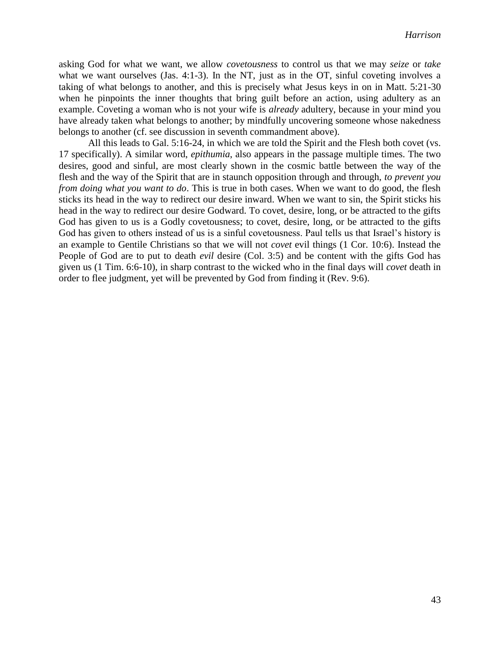asking God for what we want, we allow *covetousness* to control us that we may *seize* or *take* what we want ourselves (Jas. 4:1-3). In the NT, just as in the OT, sinful coveting involves a taking of what belongs to another, and this is precisely what Jesus keys in on in Matt. 5:21-30 when he pinpoints the inner thoughts that bring guilt before an action, using adultery as an example. Coveting a woman who is not your wife is *already* adultery, because in your mind you have already taken what belongs to another; by mindfully uncovering someone whose nakedness belongs to another (cf. see discussion in seventh commandment above).

All this leads to Gal. 5:16-24, in which we are told the Spirit and the Flesh both covet (vs. 17 specifically). A similar word, *epithumia*, also appears in the passage multiple times. The two desires, good and sinful, are most clearly shown in the cosmic battle between the way of the flesh and the way of the Spirit that are in staunch opposition through and through, *to prevent you from doing what you want to do*. This is true in both cases. When we want to do good, the flesh sticks its head in the way to redirect our desire inward. When we want to sin, the Spirit sticks his head in the way to redirect our desire Godward. To covet, desire, long, or be attracted to the gifts God has given to us is a Godly covetousness; to covet, desire, long, or be attracted to the gifts God has given to others instead of us is a sinful covetousness. Paul tells us that Israel's history is an example to Gentile Christians so that we will not *covet* evil things (1 Cor. 10:6). Instead the People of God are to put to death *evil* desire (Col. 3:5) and be content with the gifts God has given us (1 Tim. 6:6-10), in sharp contrast to the wicked who in the final days will *covet* death in order to flee judgment, yet will be prevented by God from finding it (Rev. 9:6).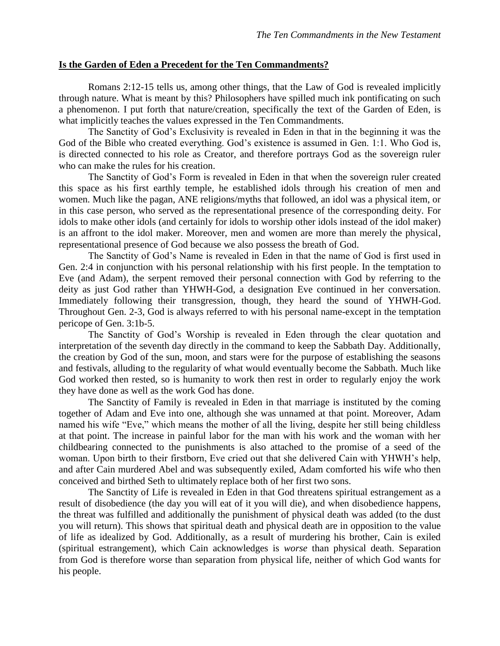#### **Is the Garden of Eden a Precedent for the Ten Commandments?**

Romans 2:12-15 tells us, among other things, that the Law of God is revealed implicitly through nature. What is meant by this? Philosophers have spilled much ink pontificating on such a phenomenon. I put forth that nature/creation, specifically the text of the Garden of Eden, is what implicitly teaches the values expressed in the Ten Commandments.

The Sanctity of God's Exclusivity is revealed in Eden in that in the beginning it was the God of the Bible who created everything. God's existence is assumed in Gen. 1:1. Who God is, is directed connected to his role as Creator, and therefore portrays God as the sovereign ruler who can make the rules for his creation.

The Sanctity of God's Form is revealed in Eden in that when the sovereign ruler created this space as his first earthly temple, he established idols through his creation of men and women. Much like the pagan, ANE religions/myths that followed, an idol was a physical item, or in this case person, who served as the representational presence of the corresponding deity. For idols to make other idols (and certainly for idols to worship other idols instead of the idol maker) is an affront to the idol maker. Moreover, men and women are more than merely the physical, representational presence of God because we also possess the breath of God.

The Sanctity of God's Name is revealed in Eden in that the name of God is first used in Gen. 2:4 in conjunction with his personal relationship with his first people. In the temptation to Eve (and Adam), the serpent removed their personal connection with God by referring to the deity as just God rather than YHWH-God, a designation Eve continued in her conversation. Immediately following their transgression, though, they heard the sound of YHWH-God. Throughout Gen. 2-3, God is always referred to with his personal name-except in the temptation pericope of Gen. 3:1b-5.

The Sanctity of God's Worship is revealed in Eden through the clear quotation and interpretation of the seventh day directly in the command to keep the Sabbath Day. Additionally, the creation by God of the sun, moon, and stars were for the purpose of establishing the seasons and festivals, alluding to the regularity of what would eventually become the Sabbath. Much like God worked then rested, so is humanity to work then rest in order to regularly enjoy the work they have done as well as the work God has done.

The Sanctity of Family is revealed in Eden in that marriage is instituted by the coming together of Adam and Eve into one, although she was unnamed at that point. Moreover, Adam named his wife "Eve," which means the mother of all the living, despite her still being childless at that point. The increase in painful labor for the man with his work and the woman with her childbearing connected to the punishments is also attached to the promise of a seed of the woman. Upon birth to their firstborn, Eve cried out that she delivered Cain with YHWH's help, and after Cain murdered Abel and was subsequently exiled, Adam comforted his wife who then conceived and birthed Seth to ultimately replace both of her first two sons.

The Sanctity of Life is revealed in Eden in that God threatens spiritual estrangement as a result of disobedience (the day you will eat of it you will die), and when disobedience happens, the threat was fulfilled and additionally the punishment of physical death was added (to the dust you will return). This shows that spiritual death and physical death are in opposition to the value of life as idealized by God. Additionally, as a result of murdering his brother, Cain is exiled (spiritual estrangement), which Cain acknowledges is *worse* than physical death. Separation from God is therefore worse than separation from physical life, neither of which God wants for his people.